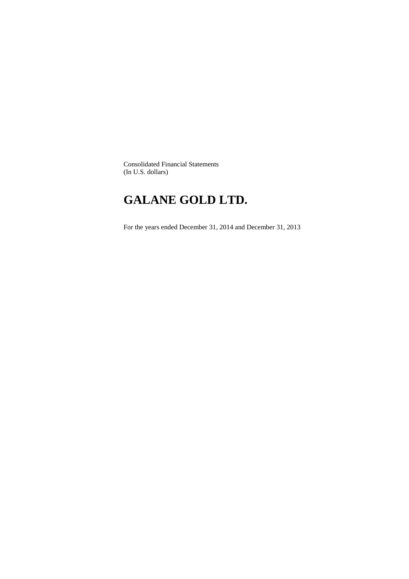Consolidated Financial Statements (In U.S. dollars)

# **GALANE GOLD LTD.**

For the years ended December 31, 2014 and December 31, 2013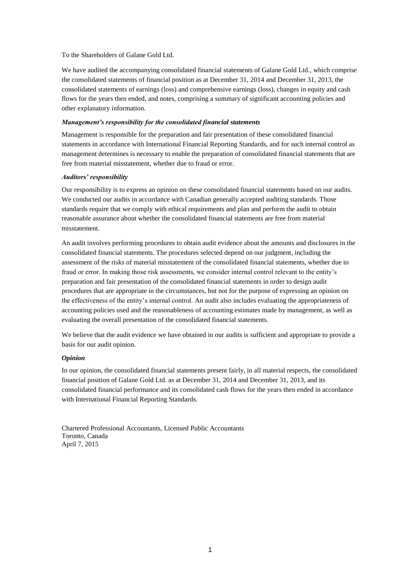## To the Shareholders of Galane Gold Ltd.

We have audited the accompanying consolidated financial statements of Galane Gold Ltd., which comprise the consolidated statements of financial position as at December 31, 2014 and December 31, 2013, the consolidated statements of earnings (loss) and comprehensive earnings (loss), changes in equity and cash flows for the years then ended, and notes, comprising a summary of significant accounting policies and other explanatory information.

# *Management's responsibility for the consolidated financial statements*

Management is responsible for the preparation and fair presentation of these consolidated financial statements in accordance with International Financial Reporting Standards, and for such internal control as management determines is necessary to enable the preparation of consolidated financial statements that are free from material misstatement, whether due to fraud or error.

# *Auditors' responsibility*

Our responsibility is to express an opinion on these consolidated financial statements based on our audits. We conducted our audits in accordance with Canadian generally accepted auditing standards. Those standards require that we comply with ethical requirements and plan and perform the audit to obtain reasonable assurance about whether the consolidated financial statements are free from material misstatement.

An audit involves performing procedures to obtain audit evidence about the amounts and disclosures in the consolidated financial statements. The procedures selected depend on our judgment, including the assessment of the risks of material misstatement of the consolidated financial statements, whether due to fraud or error. In making those risk assessments, we consider internal control relevant to the entity's preparation and fair presentation of the consolidated financial statements in order to design audit procedures that are appropriate in the circumstances, but not for the purpose of expressing an opinion on the effectiveness of the entity's internal control. An audit also includes evaluating the appropriateness of accounting policies used and the reasonableness of accounting estimates made by management, as well as evaluating the overall presentation of the consolidated financial statements.

We believe that the audit evidence we have obtained in our audits is sufficient and appropriate to provide a basis for our audit opinion.

# *Opinion*

In our opinion, the consolidated financial statements present fairly, in all material respects, the consolidated financial position of Galane Gold Ltd. as at December 31, 2014 and December 31, 2013, and its consolidated financial performance and its consolidated cash flows for the years then ended in accordance with International Financial Reporting Standards.

Chartered Professional Accountants, Licensed Public Accountants Toronto, Canada April 7, 2015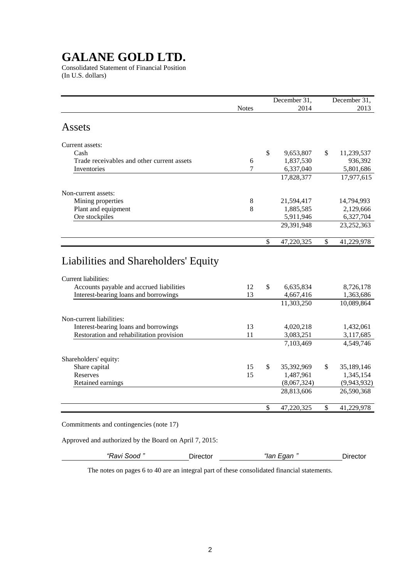Consolidated Statement of Financial Position (In U.S. dollars)

|                                                                     |              |              | December 31,            | December 31,                  |
|---------------------------------------------------------------------|--------------|--------------|-------------------------|-------------------------------|
|                                                                     | <b>Notes</b> |              | 2014                    | 2013                          |
|                                                                     |              |              |                         |                               |
| Assets                                                              |              |              |                         |                               |
|                                                                     |              |              |                         |                               |
| Current assets:                                                     |              |              |                         |                               |
| Cash                                                                |              | $\mathbb{S}$ | 9,653,807               | \$<br>11,239,537              |
| Trade receivables and other current assets                          | 6            |              | 1,837,530               | 936,392                       |
| Inventories                                                         | 7            |              | 6,337,040               | 5,801,686                     |
|                                                                     |              |              | 17,828,377              | 17,977,615                    |
| Non-current assets:                                                 |              |              |                         |                               |
| Mining properties                                                   | 8            |              | 21,594,417              | 14,794,993                    |
| Plant and equipment                                                 | 8            |              | 1,885,585               | 2,129,666                     |
| Ore stockpiles                                                      |              |              | 5,911,946               | 6,327,704                     |
|                                                                     |              |              | 29,391,948              | 23,252,363                    |
|                                                                     |              |              |                         |                               |
|                                                                     |              | \$           | 47,220,325              | \$<br>41,229,978              |
| Liabilities and Shareholders' Equity<br><b>Current liabilities:</b> |              |              |                         |                               |
| Accounts payable and accrued liabilities                            | 12           | $\mathbb{S}$ | 6,635,834               | 8,726,178                     |
| Interest-bearing loans and borrowings                               | 13           |              | 4,667,416               | 1,363,686                     |
|                                                                     |              |              | 11,303,250              | 10,089,864                    |
| Non-current liabilities:                                            |              |              |                         |                               |
| Interest-bearing loans and borrowings                               | 13           |              | 4,020,218               | 1,432,061                     |
| Restoration and rehabilitation provision                            | 11           |              | 3,083,251               | 3,117,685                     |
|                                                                     |              |              | 7,103,469               | 4,549,746                     |
|                                                                     |              |              |                         |                               |
| Shareholders' equity:                                               |              | \$           |                         |                               |
| Share capital<br><b>Reserves</b>                                    | 15<br>15     |              | 35,392,969<br>1,487,961 | \$<br>35,189,146<br>1,345,154 |
| Retained earnings                                                   |              |              | (8,067,324)             | (9,943,932)                   |
|                                                                     |              |              | 28,813,606              | 26,590,368                    |
|                                                                     |              |              |                         |                               |
|                                                                     |              | \$           | 47,220,325              | \$<br>41,229,978              |

Commitments and contingencies (note 17)

Approved and authorized by the Board on April 7, 2015:

| "Ravi Sood" | Director | "lan Egan " | Director |
|-------------|----------|-------------|----------|
|             |          |             |          |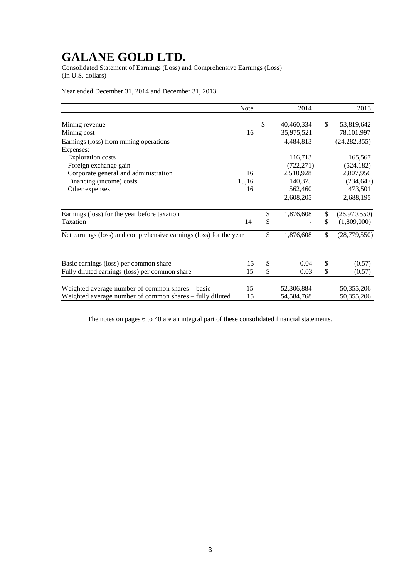Consolidated Statement of Earnings (Loss) and Comprehensive Earnings (Loss) (In U.S. dollars)

Year ended December 31, 2014 and December 31, 2013

|                                                                    | Note  | 2014                           |               | 2013                     |
|--------------------------------------------------------------------|-------|--------------------------------|---------------|--------------------------|
| Mining revenue<br>Mining cost                                      | 16    | \$<br>40,460,334<br>35,975,521 | <sup>\$</sup> | 53,819,642<br>78,101,997 |
| Earnings (loss) from mining operations                             |       | 4,484,813                      |               | (24, 282, 355)           |
| Expenses:                                                          |       |                                |               |                          |
| <b>Exploration costs</b>                                           |       | 116,713                        |               | 165,567                  |
| Foreign exchange gain                                              |       | (722, 271)                     |               | (524, 182)               |
| Corporate general and administration                               | 16    | 2,510,928                      |               | 2,807,956                |
| Financing (income) costs                                           | 15,16 | 140,375                        |               | (234, 647)               |
| Other expenses                                                     | 16    | 562,460                        |               | 473,501                  |
|                                                                    |       | 2,608,205                      |               | 2,688,195                |
| Earnings (loss) for the year before taxation                       |       | \$<br>1,876,608                | \$            | (26,970,550)             |
| Taxation                                                           | 14    | \$                             | \$            | (1,809,000)              |
| Net earnings (loss) and comprehensive earnings (loss) for the year |       | \$<br>1,876,608                | \$            | (28, 779, 550)           |
|                                                                    |       |                                |               |                          |
| Basic earnings (loss) per common share                             | 15    | \$<br>0.04                     | \$            | (0.57)                   |
| Fully diluted earnings (loss) per common share                     | 15    | \$<br>0.03                     | \$            | (0.57)                   |
| Weighted average number of common shares – basic                   | 15    | 52,306,884                     |               | 50, 355, 206             |
| Weighted average number of common shares – fully diluted           | 15    | 54,584,768                     |               | 50,355,206               |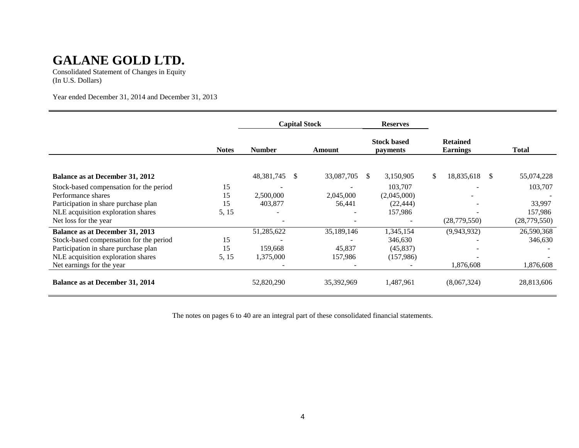Consolidated Statement of Changes in Equity (In U.S. Dollars)

Year ended December 31, 2014 and December 31, 2013

|                                                                                                                           |              | <b>Capital Stock</b>        |                      | <b>Reserves</b>                       |                                    |                       |
|---------------------------------------------------------------------------------------------------------------------------|--------------|-----------------------------|----------------------|---------------------------------------|------------------------------------|-----------------------|
|                                                                                                                           | <b>Notes</b> | <b>Number</b>               | <b>Amount</b>        | <b>Stock based</b><br><i>payments</i> | <b>Retained</b><br><b>Earnings</b> | Total                 |
| Balance as at December 31, 2012                                                                                           |              | 48,381,745<br><sup>\$</sup> | 33,087,705           | 3,150,905<br>\$.                      | \$.<br>18,835,618                  | 55,074,228<br>\$.     |
| Stock-based compensation for the period<br>Performance shares                                                             | 15<br>15     | 2,500,000                   | 2,045,000            | 103,707<br>(2,045,000)                |                                    | 103,707               |
| Participation in share purchase plan<br>NLE acquisition exploration shares                                                | 15<br>5, 15  | 403,877                     | 56,441               | (22, 444)<br>157,986                  |                                    | 33,997<br>157,986     |
| Net loss for the year                                                                                                     |              |                             |                      |                                       | (28, 779, 550)                     | (28, 779, 550)        |
| <b>Balance as at December 31, 2013</b><br>Stock-based compensation for the period<br>Participation in share purchase plan | 15<br>15     | 51,285,622<br>159,668       | 35,189,146<br>45,837 | 1,345,154<br>346,630<br>(45, 837)     | (9,943,932)                        | 26,590,368<br>346,630 |
| NLE acquisition exploration shares<br>Net earnings for the year                                                           | 5, 15        | 1,375,000                   | 157,986              | (157,986)                             | 1,876,608                          | 1,876,608             |
| <b>Balance as at December 31, 2014</b>                                                                                    |              | 52,820,290                  | 35,392,969           | 1,487,961                             | (8,067,324)                        | 28,813,606            |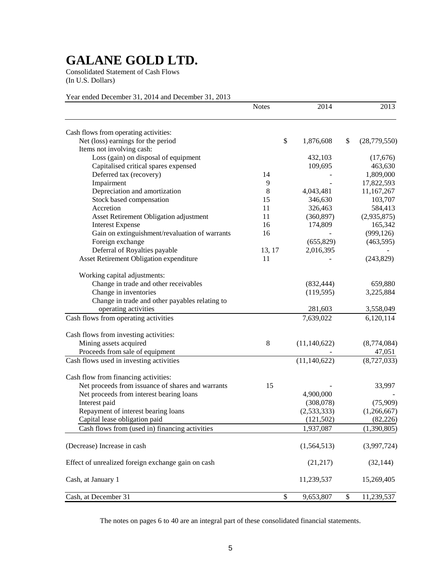Consolidated Statement of Cash Flows (In U.S. Dollars)

# Year ended December 31, 2014 and December 31, 2013

|                                                    | <b>Notes</b> | 2014           |              | 2013           |
|----------------------------------------------------|--------------|----------------|--------------|----------------|
| Cash flows from operating activities:              |              |                |              |                |
| Net (loss) earnings for the period                 | \$           | 1,876,608      | \$           | (28, 779, 550) |
| Items not involving cash:                          |              |                |              |                |
| Loss (gain) on disposal of equipment               |              | 432,103        |              | (17,676)       |
| Capitalised critical spares expensed               |              | 109,695        |              | 463,630        |
| Deferred tax (recovery)                            | 14           |                |              | 1,809,000      |
| Impairment                                         | 9            |                |              | 17,822,593     |
| Depreciation and amortization                      | 8            | 4,043,481      |              | 11,167,267     |
| Stock based compensation                           | 15           | 346,630        |              | 103,707        |
| Accretion                                          | 11           | 326,463        |              | 584,413        |
| Asset Retirement Obligation adjustment             | 11           | (360, 897)     |              | (2,935,875)    |
| <b>Interest Expense</b>                            | 16           | 174,809        |              | 165,342        |
| Gain on extinguishment/revaluation of warrants     | 16           |                |              | (999, 126)     |
| Foreign exchange                                   |              | (655, 829)     |              | (463, 595)     |
| Deferral of Royalties payable                      | 13, 17       | 2,016,395      |              |                |
| Asset Retirement Obligation expenditure            | 11           |                |              | (243, 829)     |
| Working capital adjustments:                       |              |                |              |                |
| Change in trade and other receivables              |              | (832, 444)     |              | 659,880        |
| Change in inventories                              |              | (119, 595)     |              | 3,225,884      |
| Change in trade and other payables relating to     |              |                |              |                |
| operating activities                               |              | 281,603        |              | 3,558,049      |
| Cash flows from operating activities               |              | 7,639,022      |              | 6,120,114      |
| Cash flows from investing activities:              |              |                |              |                |
| Mining assets acquired                             | 8            | (11, 140, 622) |              | (8,774,084)    |
| Proceeds from sale of equipment                    |              |                |              | 47,051         |
| Cash flows used in investing activities            |              | (11, 140, 622) |              | (8,727,033)    |
| Cash flow from financing activities:               |              |                |              |                |
| Net proceeds from issuance of shares and warrants  | 15           |                |              | 33,997         |
| Net proceeds from interest bearing loans           |              | 4,900,000      |              |                |
| Interest paid                                      |              | (308,078)      |              | (75,909)       |
| Repayment of interest bearing loans                |              | (2,533,333)    |              | (1,266,667)    |
| Capital lease obligation paid                      |              | (121, 502)     |              | (82, 226)      |
| Cash flows from (used in) financing activities     |              | 1,937,087      |              | (1,390,805)    |
| (Decrease) Increase in cash                        |              | (1, 564, 513)  |              | (3,997,724)    |
| Effect of unrealized foreign exchange gain on cash |              | (21, 217)      |              | (32, 144)      |
| Cash, at January 1                                 |              | 11,239,537     |              | 15,269,405     |
| Cash, at December 31                               | \$           | 9,653,807      | $\mathbb{S}$ | 11,239,537     |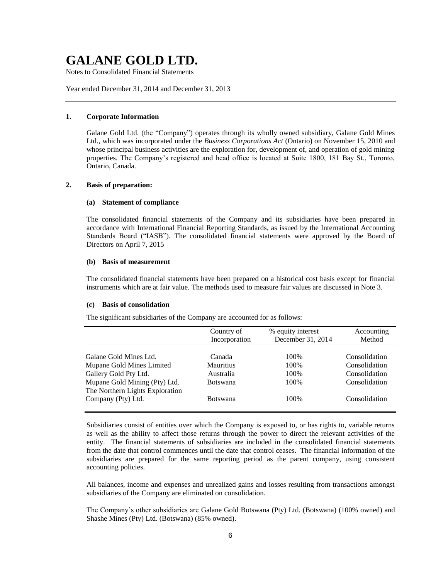Notes to Consolidated Financial Statements

Year ended December 31, 2014 and December 31, 2013

# **1. Corporate Information**

Galane Gold Ltd. (the "Company") operates through its wholly owned subsidiary, Galane Gold Mines Ltd., which was incorporated under the *Business Corporations Act* (Ontario) on November 15, 2010 and whose principal business activities are the exploration for, development of, and operation of gold mining properties. The Company's registered and head office is located at Suite 1800, 181 Bay St., Toronto, Ontario, Canada.

# **2. Basis of preparation:**

#### **(a) Statement of compliance**

The consolidated financial statements of the Company and its subsidiaries have been prepared in accordance with International Financial Reporting Standards, as issued by the International Accounting Standards Board ("IASB"). The consolidated financial statements were approved by the Board of Directors on April 7, 2015

#### **(b) Basis of measurement**

The consolidated financial statements have been prepared on a historical cost basis except for financial instruments which are at fair value. The methods used to measure fair values are discussed in Note 3.

#### **(c) Basis of consolidation**

The significant subsidiaries of the Company are accounted for as follows:

|                                 | Country of<br>Incorporation | % equity interest<br>December 31, 2014 | Accounting<br>Method |
|---------------------------------|-----------------------------|----------------------------------------|----------------------|
|                                 |                             |                                        |                      |
| Galane Gold Mines Ltd.          | Canada                      | 100\%                                  | Consolidation        |
| Mupane Gold Mines Limited       | <b>Mauritius</b>            | 100\%                                  | Consolidation        |
| Gallery Gold Pty Ltd.           | Australia                   | 100%                                   | Consolidation        |
| Mupane Gold Mining (Pty) Ltd.   | <b>Botswana</b>             | 100\%                                  | Consolidation        |
| The Northern Lights Exploration |                             |                                        |                      |
| Company (Pty) Ltd.              | <b>Botswana</b>             | 100\%                                  | Consolidation        |
|                                 |                             |                                        |                      |

Subsidiaries consist of entities over which the Company is exposed to, or has rights to, variable returns as well as the ability to affect those returns through the power to direct the relevant activities of the entity. The financial statements of subsidiaries are included in the consolidated financial statements from the date that control commences until the date that control ceases. The financial information of the subsidiaries are prepared for the same reporting period as the parent company, using consistent accounting policies.

All balances, income and expenses and unrealized gains and losses resulting from transactions amongst subsidiaries of the Company are eliminated on consolidation.

The Company's other subsidiaries are Galane Gold Botswana (Pty) Ltd. (Botswana) (100% owned) and Shashe Mines (Pty) Ltd. (Botswana) (85% owned).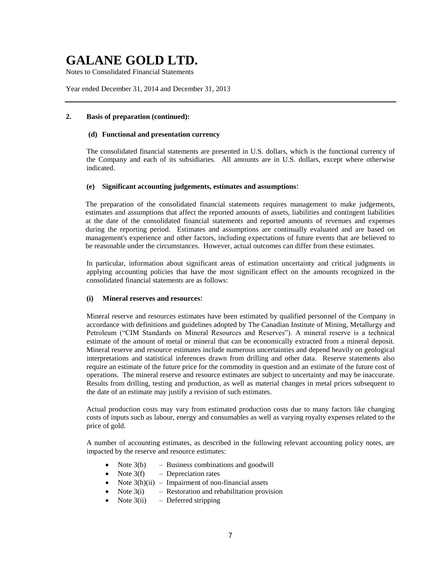Notes to Consolidated Financial Statements

Year ended December 31, 2014 and December 31, 2013

# **2. Basis of preparation (continued):**

### **(d) Functional and presentation currency**

The consolidated financial statements are presented in U.S. dollars, which is the functional currency of the Company and each of its subsidiaries. All amounts are in U.S. dollars, except where otherwise indicated.

### **(e) Significant accounting judgements, estimates and assumptions**:

The preparation of the consolidated financial statements requires management to make judgements, estimates and assumptions that affect the reported amounts of assets, liabilities and contingent liabilities at the date of the consolidated financial statements and reported amounts of revenues and expenses during the reporting period. Estimates and assumptions are continually evaluated and are based on management's experience and other factors, including expectations of future events that are believed to be reasonable under the circumstances. However, actual outcomes can differ from these estimates.

In particular, information about significant areas of estimation uncertainty and critical judgments in applying accounting policies that have the most significant effect on the amounts recognized in the consolidated financial statements are as follows:

### **(i) Mineral reserves and resources**:

Mineral reserve and resources estimates have been estimated by qualified personnel of the Company in accordance with definitions and guidelines adopted by The Canadian Institute of Mining, Metallurgy and Petroleum ("CIM Standards on Mineral Resources and Reserves"). A mineral reserve is a technical estimate of the amount of metal or mineral that can be economically extracted from a mineral deposit. Mineral reserve and resource estimates include numerous uncertainties and depend heavily on geological interpretations and statistical inferences drawn from drilling and other data. Reserve statements also require an estimate of the future price for the commodity in question and an estimate of the future cost of operations. The mineral reserve and resource estimates are subject to uncertainty and may be inaccurate. Results from drilling, testing and production, as well as material changes in metal prices subsequent to the date of an estimate may justify a revision of such estimates.

Actual production costs may vary from estimated production costs due to many factors like changing costs of inputs such as labour, energy and consumables as well as varying royalty expenses related to the price of gold.

A number of accounting estimates, as described in the following relevant accounting policy notes, are impacted by the reserve and resource estimates:

- Note  $3(b)$  Business combinations and goodwill
- Note  $3(f)$  Depreciation rates
- Note  $3(h)(ii)$  Impairment of non-financial assets
- Note  $3(i)$  Restoration and rehabilitation provision
- Note  $3(ii)$  Deferred stripping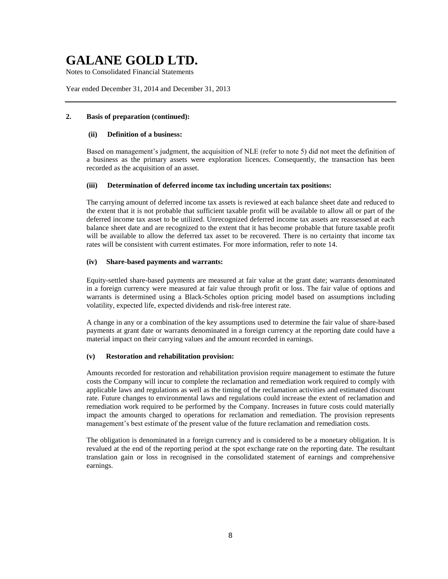Notes to Consolidated Financial Statements

Year ended December 31, 2014 and December 31, 2013

# **2. Basis of preparation (continued):**

### **(ii) Definition of a business:**

Based on management's judgment, the acquisition of NLE (refer to note 5) did not meet the definition of a business as the primary assets were exploration licences. Consequently, the transaction has been recorded as the acquisition of an asset.

# **(iii) Determination of deferred income tax including uncertain tax positions:**

The carrying amount of deferred income tax assets is reviewed at each balance sheet date and reduced to the extent that it is not probable that sufficient taxable profit will be available to allow all or part of the deferred income tax asset to be utilized. Unrecognized deferred income tax assets are reassessed at each balance sheet date and are recognized to the extent that it has become probable that future taxable profit will be available to allow the deferred tax asset to be recovered. There is no certainty that income tax rates will be consistent with current estimates. For more information, refer to note 14.

# **(iv) Share-based payments and warrants:**

Equity-settled share-based payments are measured at fair value at the grant date; warrants denominated in a foreign currency were measured at fair value through profit or loss. The fair value of options and warrants is determined using a Black-Scholes option pricing model based on assumptions including volatility, expected life, expected dividends and risk-free interest rate.

A change in any or a combination of the key assumptions used to determine the fair value of share-based payments at grant date or warrants denominated in a foreign currency at the reporting date could have a material impact on their carrying values and the amount recorded in earnings.

# **(v) Restoration and rehabilitation provision:**

Amounts recorded for restoration and rehabilitation provision require management to estimate the future costs the Company will incur to complete the reclamation and remediation work required to comply with applicable laws and regulations as well as the timing of the reclamation activities and estimated discount rate. Future changes to environmental laws and regulations could increase the extent of reclamation and remediation work required to be performed by the Company. Increases in future costs could materially impact the amounts charged to operations for reclamation and remediation. The provision represents management's best estimate of the present value of the future reclamation and remediation costs.

The obligation is denominated in a foreign currency and is considered to be a monetary obligation. It is revalued at the end of the reporting period at the spot exchange rate on the reporting date. The resultant translation gain or loss in recognised in the consolidated statement of earnings and comprehensive earnings.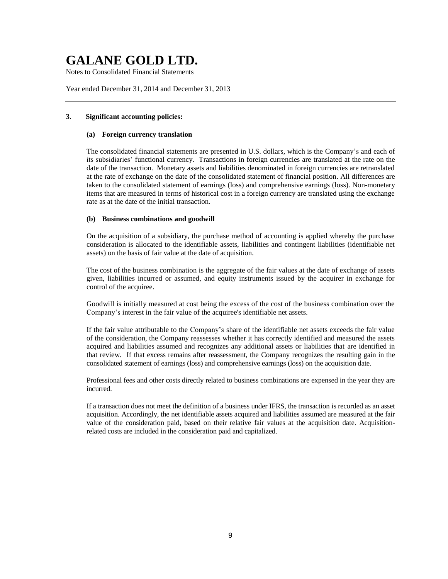Notes to Consolidated Financial Statements

Year ended December 31, 2014 and December 31, 2013

# **3. Significant accounting policies:**

### **(a) Foreign currency translation**

The consolidated financial statements are presented in U.S. dollars, which is the Company's and each of its subsidiaries' functional currency. Transactions in foreign currencies are translated at the rate on the date of the transaction. Monetary assets and liabilities denominated in foreign currencies are retranslated at the rate of exchange on the date of the consolidated statement of financial position. All differences are taken to the consolidated statement of earnings (loss) and comprehensive earnings (loss). Non-monetary items that are measured in terms of historical cost in a foreign currency are translated using the exchange rate as at the date of the initial transaction.

### **(b) Business combinations and goodwill**

On the acquisition of a subsidiary, the purchase method of accounting is applied whereby the purchase consideration is allocated to the identifiable assets, liabilities and contingent liabilities (identifiable net assets) on the basis of fair value at the date of acquisition.

The cost of the business combination is the aggregate of the fair values at the date of exchange of assets given, liabilities incurred or assumed, and equity instruments issued by the acquirer in exchange for control of the acquiree.

Goodwill is initially measured at cost being the excess of the cost of the business combination over the Company's interest in the fair value of the acquiree's identifiable net assets.

If the fair value attributable to the Company's share of the identifiable net assets exceeds the fair value of the consideration, the Company reassesses whether it has correctly identified and measured the assets acquired and liabilities assumed and recognizes any additional assets or liabilities that are identified in that review. If that excess remains after reassessment, the Company recognizes the resulting gain in the consolidated statement of earnings (loss) and comprehensive earnings (loss) on the acquisition date.

Professional fees and other costs directly related to business combinations are expensed in the year they are incurred.

If a transaction does not meet the definition of a business under IFRS, the transaction is recorded as an asset acquisition. Accordingly, the net identifiable assets acquired and liabilities assumed are measured at the fair value of the consideration paid, based on their relative fair values at the acquisition date. Acquisitionrelated costs are included in the consideration paid and capitalized.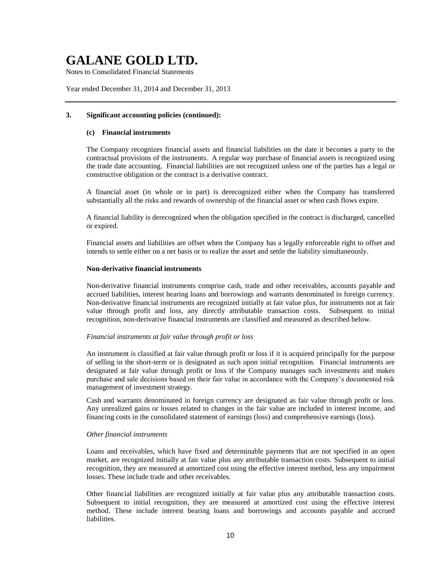Notes to Consolidated Financial Statements

Year ended December 31, 2014 and December 31, 2013

#### **3. Significant accounting policies (continued):**

## **(c) Financial instruments**

The Company recognizes financial assets and financial liabilities on the date it becomes a party to the contractual provisions of the instruments. A regular way purchase of financial assets is recognized using the trade date accounting. Financial liabilities are not recognized unless one of the parties has a legal or constructive obligation or the contract is a derivative contract.

A financial asset (in whole or in part) is derecognized either when the Company has transferred substantially all the risks and rewards of ownership of the financial asset or when cash flows expire.

A financial liability is derecognized when the obligation specified in the contract is discharged, cancelled or expired.

Financial assets and liabilities are offset when the Company has a legally enforceable right to offset and intends to settle either on a net basis or to realize the asset and settle the liability simultaneously.

## **Non-derivative financial instruments**

Non-derivative financial instruments comprise cash, trade and other receivables, accounts payable and accrued liabilities, interest bearing loans and borrowings and warrants denominated in foreign currency. Non-derivative financial instruments are recognized initially at fair value plus, for instruments not at fair value through profit and loss, any directly attributable transaction costs. Subsequent to initial recognition, non-derivative financial instruments are classified and measured as described below.

#### *Financial instruments at fair value through profit or loss*

An instrument is classified at fair value through profit or loss if it is acquired principally for the purpose of selling in the short-term or is designated as such upon initial recognition. Financial instruments are designated at fair value through profit or loss if the Company manages such investments and makes purchase and sale decisions based on their fair value in accordance with the Company's documented risk management of investment strategy.

Cash and warrants denominated in foreign currency are designated as fair value through profit or loss. Any unrealized gains or losses related to changes in the fair value are included in interest income, and financing costs in the consolidated statement of earnings (loss) and comprehensive earnings (loss).

#### *Other financial instruments*

Loans and receivables, which have fixed and determinable payments that are not specified in an open market, are recognized initially at fair value plus any attributable transaction costs. Subsequent to initial recognition, they are measured at amortized cost using the effective interest method, less any impairment losses. These include trade and other receivables.

Other financial liabilities are recognized initially at fair value plus any attributable transaction costs. Subsequent to initial recognition, they are measured at amortized cost using the effective interest method. These include interest bearing loans and borrowings and accounts payable and accrued liabilities.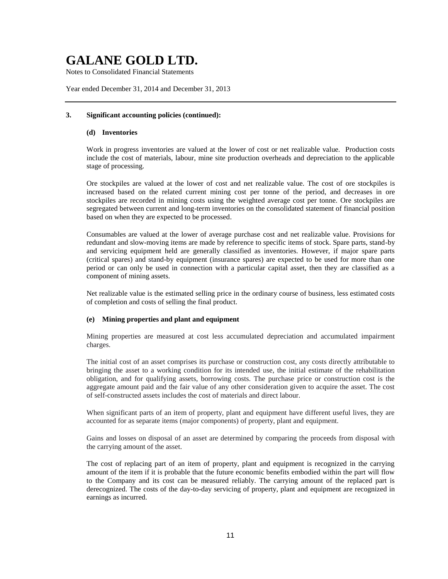Notes to Consolidated Financial Statements

Year ended December 31, 2014 and December 31, 2013

## **3. Significant accounting policies (continued):**

### **(d) Inventories**

Work in progress inventories are valued at the lower of cost or net realizable value. Production costs include the cost of materials, labour, mine site production overheads and depreciation to the applicable stage of processing.

Ore stockpiles are valued at the lower of cost and net realizable value. The cost of ore stockpiles is increased based on the related current mining cost per tonne of the period, and decreases in ore stockpiles are recorded in mining costs using the weighted average cost per tonne. Ore stockpiles are segregated between current and long-term inventories on the consolidated statement of financial position based on when they are expected to be processed.

Consumables are valued at the lower of average purchase cost and net realizable value. Provisions for redundant and slow-moving items are made by reference to specific items of stock. Spare parts, stand-by and servicing equipment held are generally classified as inventories. However, if major spare parts (critical spares) and stand-by equipment (insurance spares) are expected to be used for more than one period or can only be used in connection with a particular capital asset, then they are classified as a component of mining assets.

Net realizable value is the estimated selling price in the ordinary course of business, less estimated costs of completion and costs of selling the final product.

### **(e) Mining properties and plant and equipment**

Mining properties are measured at cost less accumulated depreciation and accumulated impairment charges.

The initial cost of an asset comprises its purchase or construction cost, any costs directly attributable to bringing the asset to a working condition for its intended use, the initial estimate of the rehabilitation obligation, and for qualifying assets, borrowing costs. The purchase price or construction cost is the aggregate amount paid and the fair value of any other consideration given to acquire the asset. The cost of self-constructed assets includes the cost of materials and direct labour.

When significant parts of an item of property, plant and equipment have different useful lives, they are accounted for as separate items (major components) of property, plant and equipment.

Gains and losses on disposal of an asset are determined by comparing the proceeds from disposal with the carrying amount of the asset.

The cost of replacing part of an item of property, plant and equipment is recognized in the carrying amount of the item if it is probable that the future economic benefits embodied within the part will flow to the Company and its cost can be measured reliably. The carrying amount of the replaced part is derecognized. The costs of the day-to-day servicing of property, plant and equipment are recognized in earnings as incurred.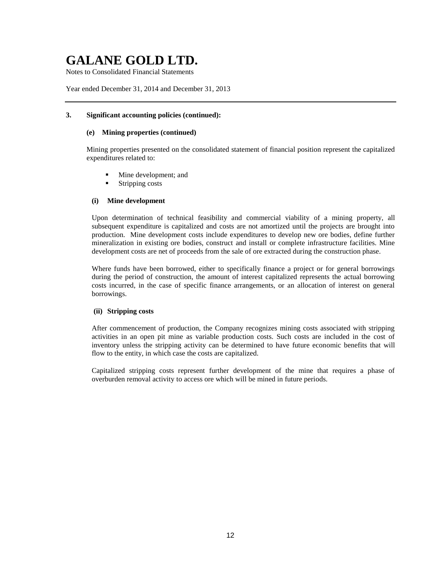Notes to Consolidated Financial Statements

Year ended December 31, 2014 and December 31, 2013

# **3. Significant accounting policies (continued):**

### **(e) Mining properties (continued)**

Mining properties presented on the consolidated statement of financial position represent the capitalized expenditures related to:

- Mine development; and
- Stripping costs

# **(i) Mine development**

Upon determination of technical feasibility and commercial viability of a mining property, all subsequent expenditure is capitalized and costs are not amortized until the projects are brought into production. Mine development costs include expenditures to develop new ore bodies, define further mineralization in existing ore bodies, construct and install or complete infrastructure facilities. Mine development costs are net of proceeds from the sale of ore extracted during the construction phase.

Where funds have been borrowed, either to specifically finance a project or for general borrowings during the period of construction, the amount of interest capitalized represents the actual borrowing costs incurred, in the case of specific finance arrangements, or an allocation of interest on general borrowings.

### **(ii) Stripping costs**

After commencement of production, the Company recognizes mining costs associated with stripping activities in an open pit mine as variable production costs. Such costs are included in the cost of inventory unless the stripping activity can be determined to have future economic benefits that will flow to the entity, in which case the costs are capitalized.

Capitalized stripping costs represent further development of the mine that requires a phase of overburden removal activity to access ore which will be mined in future periods.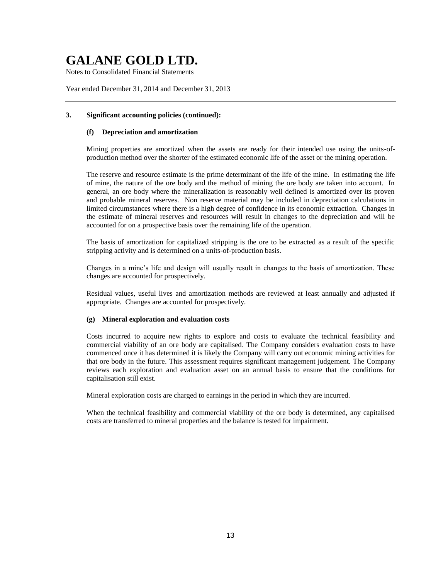Notes to Consolidated Financial Statements

Year ended December 31, 2014 and December 31, 2013

## **3. Significant accounting policies (continued):**

## **(f) Depreciation and amortization**

Mining properties are amortized when the assets are ready for their intended use using the units-ofproduction method over the shorter of the estimated economic life of the asset or the mining operation.

The reserve and resource estimate is the prime determinant of the life of the mine. In estimating the life of mine, the nature of the ore body and the method of mining the ore body are taken into account. In general, an ore body where the mineralization is reasonably well defined is amortized over its proven and probable mineral reserves. Non reserve material may be included in depreciation calculations in limited circumstances where there is a high degree of confidence in its economic extraction. Changes in the estimate of mineral reserves and resources will result in changes to the depreciation and will be accounted for on a prospective basis over the remaining life of the operation.

The basis of amortization for capitalized stripping is the ore to be extracted as a result of the specific stripping activity and is determined on a units-of-production basis.

Changes in a mine's life and design will usually result in changes to the basis of amortization. These changes are accounted for prospectively.

Residual values, useful lives and amortization methods are reviewed at least annually and adjusted if appropriate. Changes are accounted for prospectively.

### **(g) Mineral exploration and evaluation costs**

Costs incurred to acquire new rights to explore and costs to evaluate the technical feasibility and commercial viability of an ore body are capitalised. The Company considers evaluation costs to have commenced once it has determined it is likely the Company will carry out economic mining activities for that ore body in the future. This assessment requires significant management judgement. The Company reviews each exploration and evaluation asset on an annual basis to ensure that the conditions for capitalisation still exist.

Mineral exploration costs are charged to earnings in the period in which they are incurred.

When the technical feasibility and commercial viability of the ore body is determined, any capitalised costs are transferred to mineral properties and the balance is tested for impairment.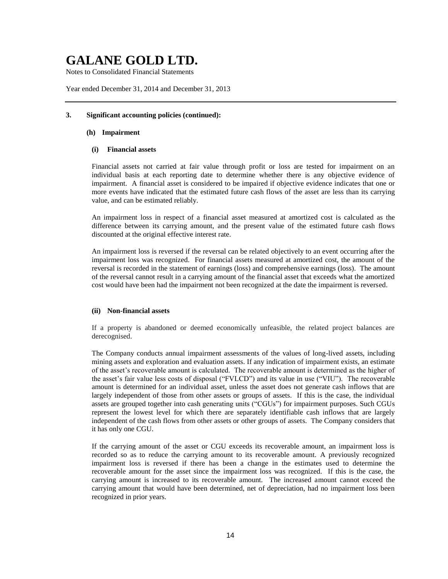Notes to Consolidated Financial Statements

Year ended December 31, 2014 and December 31, 2013

### **3. Significant accounting policies (continued):**

#### **(h) Impairment**

## **(i) Financial assets**

Financial assets not carried at fair value through profit or loss are tested for impairment on an individual basis at each reporting date to determine whether there is any objective evidence of impairment. A financial asset is considered to be impaired if objective evidence indicates that one or more events have indicated that the estimated future cash flows of the asset are less than its carrying value, and can be estimated reliably.

An impairment loss in respect of a financial asset measured at amortized cost is calculated as the difference between its carrying amount, and the present value of the estimated future cash flows discounted at the original effective interest rate.

An impairment loss is reversed if the reversal can be related objectively to an event occurring after the impairment loss was recognized. For financial assets measured at amortized cost, the amount of the reversal is recorded in the statement of earnings (loss) and comprehensive earnings (loss). The amount of the reversal cannot result in a carrying amount of the financial asset that exceeds what the amortized cost would have been had the impairment not been recognized at the date the impairment is reversed.

### **(ii) Non-financial assets**

If a property is abandoned or deemed economically unfeasible, the related project balances are derecognised.

The Company conducts annual impairment assessments of the values of long-lived assets, including mining assets and exploration and evaluation assets. If any indication of impairment exists, an estimate of the asset's recoverable amount is calculated. The recoverable amount is determined as the higher of the asset's fair value less costs of disposal ("FVLCD") and its value in use ("VIU"). The recoverable amount is determined for an individual asset, unless the asset does not generate cash inflows that are largely independent of those from other assets or groups of assets. If this is the case, the individual assets are grouped together into cash generating units ("CGUs") for impairment purposes. Such CGUs represent the lowest level for which there are separately identifiable cash inflows that are largely independent of the cash flows from other assets or other groups of assets. The Company considers that it has only one CGU.

If the carrying amount of the asset or CGU exceeds its recoverable amount, an impairment loss is recorded so as to reduce the carrying amount to its recoverable amount. A previously recognized impairment loss is reversed if there has been a change in the estimates used to determine the recoverable amount for the asset since the impairment loss was recognized. If this is the case, the carrying amount is increased to its recoverable amount. The increased amount cannot exceed the carrying amount that would have been determined, net of depreciation, had no impairment loss been recognized in prior years.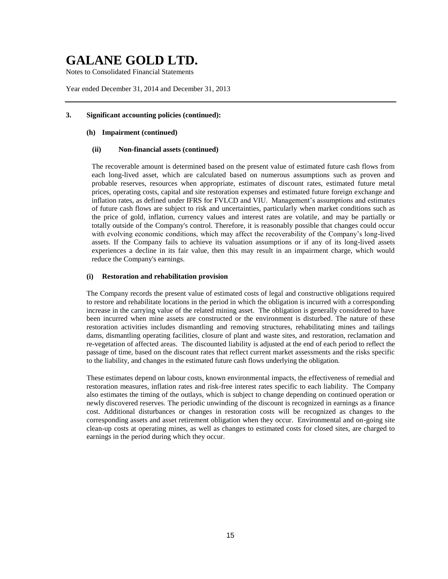Notes to Consolidated Financial Statements

Year ended December 31, 2014 and December 31, 2013

## **3. Significant accounting policies (continued):**

#### **(h) Impairment (continued)**

## **(ii) Non-financial assets (continued)**

The recoverable amount is determined based on the present value of estimated future cash flows from each long-lived asset, which are calculated based on numerous assumptions such as proven and probable reserves, resources when appropriate, estimates of discount rates, estimated future metal prices, operating costs, capital and site restoration expenses and estimated future foreign exchange and inflation rates, as defined under IFRS for FVLCD and VIU. Management's assumptions and estimates of future cash flows are subject to risk and uncertainties, particularly when market conditions such as the price of gold, inflation, currency values and interest rates are volatile, and may be partially or totally outside of the Company's control. Therefore, it is reasonably possible that changes could occur with evolving economic conditions, which may affect the recoverability of the Company's long-lived assets. If the Company fails to achieve its valuation assumptions or if any of its long-lived assets experiences a decline in its fair value, then this may result in an impairment charge, which would reduce the Company's earnings.

### **(i) Restoration and rehabilitation provision**

The Company records the present value of estimated costs of legal and constructive obligations required to restore and rehabilitate locations in the period in which the obligation is incurred with a corresponding increase in the carrying value of the related mining asset. The obligation is generally considered to have been incurred when mine assets are constructed or the environment is disturbed. The nature of these restoration activities includes dismantling and removing structures, rehabilitating mines and tailings dams, dismantling operating facilities, closure of plant and waste sites, and restoration, reclamation and re-vegetation of affected areas. The discounted liability is adjusted at the end of each period to reflect the passage of time, based on the discount rates that reflect current market assessments and the risks specific to the liability, and changes in the estimated future cash flows underlying the obligation.

These estimates depend on labour costs, known environmental impacts, the effectiveness of remedial and restoration measures, inflation rates and risk-free interest rates specific to each liability. The Company also estimates the timing of the outlays, which is subject to change depending on continued operation or newly discovered reserves. The periodic unwinding of the discount is recognized in earnings as a finance cost. Additional disturbances or changes in restoration costs will be recognized as changes to the corresponding assets and asset retirement obligation when they occur. Environmental and on-going site clean-up costs at operating mines, as well as changes to estimated costs for closed sites, are charged to earnings in the period during which they occur.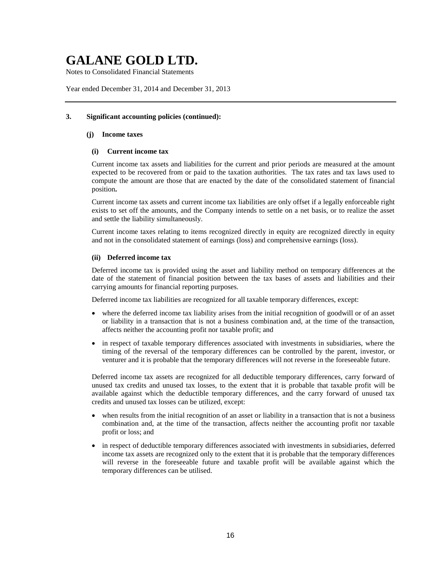Notes to Consolidated Financial Statements

Year ended December 31, 2014 and December 31, 2013

# **3. Significant accounting policies (continued):**

#### **(j) Income taxes**

### **(i) Current income tax**

Current income tax assets and liabilities for the current and prior periods are measured at the amount expected to be recovered from or paid to the taxation authorities. The tax rates and tax laws used to compute the amount are those that are enacted by the date of the consolidated statement of financial position**.**

Current income tax assets and current income tax liabilities are only offset if a legally enforceable right exists to set off the amounts, and the Company intends to settle on a net basis, or to realize the asset and settle the liability simultaneously.

Current income taxes relating to items recognized directly in equity are recognized directly in equity and not in the consolidated statement of earnings (loss) and comprehensive earnings (loss).

## **(ii) Deferred income tax**

Deferred income tax is provided using the asset and liability method on temporary differences at the date of the statement of financial position between the tax bases of assets and liabilities and their carrying amounts for financial reporting purposes.

Deferred income tax liabilities are recognized for all taxable temporary differences, except:

- where the deferred income tax liability arises from the initial recognition of goodwill or of an asset or liability in a transaction that is not a business combination and, at the time of the transaction, affects neither the accounting profit nor taxable profit; and
- in respect of taxable temporary differences associated with investments in subsidiaries, where the timing of the reversal of the temporary differences can be controlled by the parent, investor, or venturer and it is probable that the temporary differences will not reverse in the foreseeable future.

Deferred income tax assets are recognized for all deductible temporary differences, carry forward of unused tax credits and unused tax losses, to the extent that it is probable that taxable profit will be available against which the deductible temporary differences, and the carry forward of unused tax credits and unused tax losses can be utilized, except:

- when results from the initial recognition of an asset or liability in a transaction that is not a business combination and, at the time of the transaction, affects neither the accounting profit nor taxable profit or loss; and
- in respect of deductible temporary differences associated with investments in subsidiaries, deferred income tax assets are recognized only to the extent that it is probable that the temporary differences will reverse in the foreseeable future and taxable profit will be available against which the temporary differences can be utilised.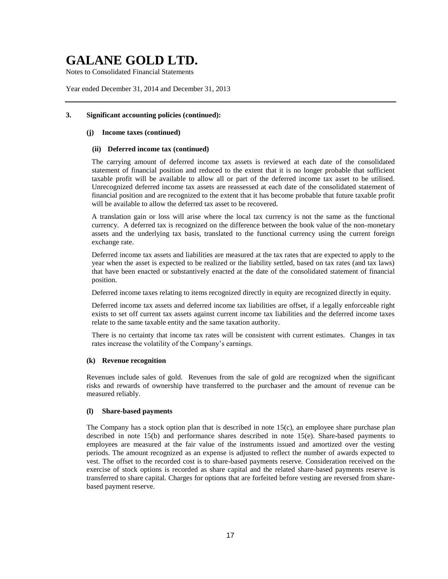Notes to Consolidated Financial Statements

Year ended December 31, 2014 and December 31, 2013

## **3. Significant accounting policies (continued):**

### **(j) Income taxes (continued)**

### **(ii) Deferred income tax (continued)**

The carrying amount of deferred income tax assets is reviewed at each date of the consolidated statement of financial position and reduced to the extent that it is no longer probable that sufficient taxable profit will be available to allow all or part of the deferred income tax asset to be utilised. Unrecognized deferred income tax assets are reassessed at each date of the consolidated statement of financial position and are recognized to the extent that it has become probable that future taxable profit will be available to allow the deferred tax asset to be recovered.

A translation gain or loss will arise where the local tax currency is not the same as the functional currency. A deferred tax is recognized on the difference between the book value of the non-monetary assets and the underlying tax basis, translated to the functional currency using the current foreign exchange rate.

Deferred income tax assets and liabilities are measured at the tax rates that are expected to apply to the year when the asset is expected to be realized or the liability settled, based on tax rates (and tax laws) that have been enacted or substantively enacted at the date of the consolidated statement of financial position.

Deferred income taxes relating to items recognized directly in equity are recognized directly in equity.

Deferred income tax assets and deferred income tax liabilities are offset, if a legally enforceable right exists to set off current tax assets against current income tax liabilities and the deferred income taxes relate to the same taxable entity and the same taxation authority.

There is no certainty that income tax rates will be consistent with current estimates. Changes in tax rates increase the volatility of the Company's earnings.

### **(k) Revenue recognition**

Revenues include sales of gold. Revenues from the sale of gold are recognized when the significant risks and rewards of ownership have transferred to the purchaser and the amount of revenue can be measured reliably.

#### **(l) Share-based payments**

The Company has a stock option plan that is described in note  $15(c)$ , an employee share purchase plan described in note 15(b) and performance shares described in note 15(e). Share-based payments to employees are measured at the fair value of the instruments issued and amortized over the vesting periods. The amount recognized as an expense is adjusted to reflect the number of awards expected to vest. The offset to the recorded cost is to share-based payments reserve. Consideration received on the exercise of stock options is recorded as share capital and the related share-based payments reserve is transferred to share capital. Charges for options that are forfeited before vesting are reversed from sharebased payment reserve.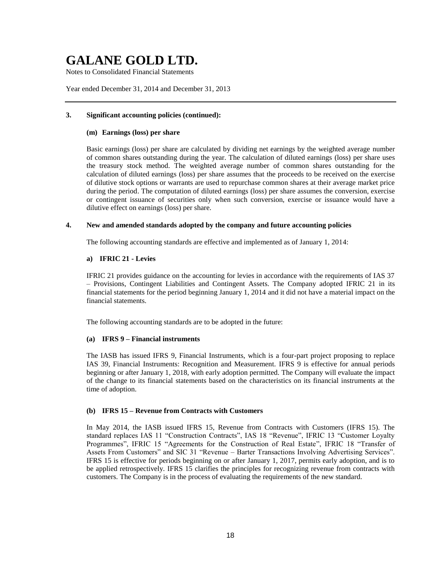Notes to Consolidated Financial Statements

Year ended December 31, 2014 and December 31, 2013

## **3. Significant accounting policies (continued):**

### **(m) Earnings (loss) per share**

Basic earnings (loss) per share are calculated by dividing net earnings by the weighted average number of common shares outstanding during the year. The calculation of diluted earnings (loss) per share uses the treasury stock method. The weighted average number of common shares outstanding for the calculation of diluted earnings (loss) per share assumes that the proceeds to be received on the exercise of dilutive stock options or warrants are used to repurchase common shares at their average market price during the period. The computation of diluted earnings (loss) per share assumes the conversion, exercise or contingent issuance of securities only when such conversion, exercise or issuance would have a dilutive effect on earnings (loss) per share.

# **4. New and amended standards adopted by the company and future accounting policies**

The following accounting standards are effective and implemented as of January 1, 2014:

### **a) IFRIC 21 - Levies**

IFRIC 21 provides guidance on the accounting for levies in accordance with the requirements of IAS 37 – Provisions, Contingent Liabilities and Contingent Assets. The Company adopted IFRIC 21 in its financial statements for the period beginning January 1, 2014 and it did not have a material impact on the financial statements.

The following accounting standards are to be adopted in the future:

### **(a) IFRS 9 – Financial instruments**

The IASB has issued IFRS 9, Financial Instruments, which is a four-part project proposing to replace IAS 39, Financial Instruments: Recognition and Measurement. IFRS 9 is effective for annual periods beginning or after January 1, 2018, with early adoption permitted. The Company will evaluate the impact of the change to its financial statements based on the characteristics on its financial instruments at the time of adoption.

### **(b) IFRS 15 – Revenue from Contracts with Customers**

In May 2014, the IASB issued IFRS 15, Revenue from Contracts with Customers (IFRS 15). The standard replaces IAS 11 "Construction Contracts", IAS 18 "Revenue", IFRIC 13 "Customer Loyalty Programmes", IFRIC 15 "Agreements for the Construction of Real Estate", IFRIC 18 "Transfer of Assets From Customers" and SIC 31 "Revenue – Barter Transactions Involving Advertising Services". IFRS 15 is effective for periods beginning on or after January 1, 2017, permits early adoption, and is to be applied retrospectively. IFRS 15 clarifies the principles for recognizing revenue from contracts with customers. The Company is in the process of evaluating the requirements of the new standard.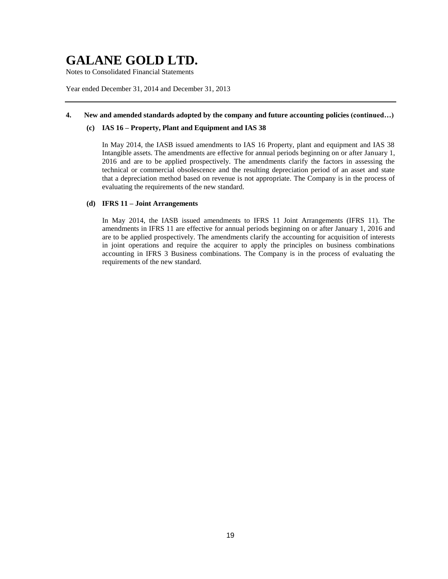Notes to Consolidated Financial Statements

Year ended December 31, 2014 and December 31, 2013

## **4. New and amended standards adopted by the company and future accounting policies (continued…)**

## **(c) IAS 16 – Property, Plant and Equipment and IAS 38**

In May 2014, the IASB issued amendments to IAS 16 Property, plant and equipment and IAS 38 Intangible assets. The amendments are effective for annual periods beginning on or after January 1, 2016 and are to be applied prospectively. The amendments clarify the factors in assessing the technical or commercial obsolescence and the resulting depreciation period of an asset and state that a depreciation method based on revenue is not appropriate. The Company is in the process of evaluating the requirements of the new standard.

# **(d) IFRS 11 – Joint Arrangements**

In May 2014, the IASB issued amendments to IFRS 11 Joint Arrangements (IFRS 11). The amendments in IFRS 11 are effective for annual periods beginning on or after January 1, 2016 and are to be applied prospectively. The amendments clarify the accounting for acquisition of interests in joint operations and require the acquirer to apply the principles on business combinations accounting in IFRS 3 Business combinations. The Company is in the process of evaluating the requirements of the new standard.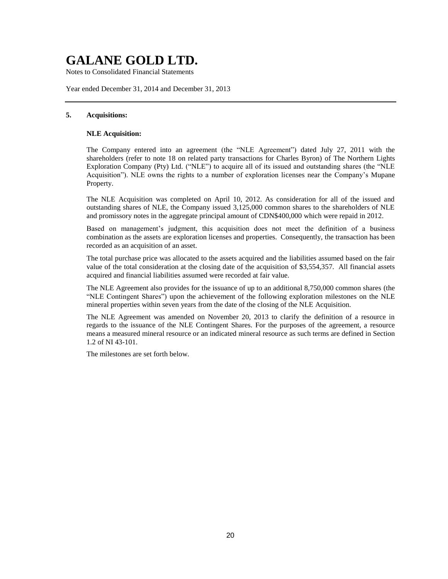Notes to Consolidated Financial Statements

Year ended December 31, 2014 and December 31, 2013

## **5. Acquisitions:**

#### **NLE Acquisition:**

The Company entered into an agreement (the "NLE Agreement") dated July 27, 2011 with the shareholders (refer to note 18 on related party transactions for Charles Byron) of The Northern Lights Exploration Company (Pty) Ltd. ("NLE") to acquire all of its issued and outstanding shares (the "NLE Acquisition"). NLE owns the rights to a number of exploration licenses near the Company's Mupane Property.

The NLE Acquisition was completed on April 10, 2012. As consideration for all of the issued and outstanding shares of NLE, the Company issued 3,125,000 common shares to the shareholders of NLE and promissory notes in the aggregate principal amount of CDN\$400,000 which were repaid in 2012.

Based on management's judgment, this acquisition does not meet the definition of a business combination as the assets are exploration licenses and properties. Consequently, the transaction has been recorded as an acquisition of an asset.

The total purchase price was allocated to the assets acquired and the liabilities assumed based on the fair value of the total consideration at the closing date of the acquisition of \$3,554,357. All financial assets acquired and financial liabilities assumed were recorded at fair value.

The NLE Agreement also provides for the issuance of up to an additional 8,750,000 common shares (the "NLE Contingent Shares") upon the achievement of the following exploration milestones on the NLE mineral properties within seven years from the date of the closing of the NLE Acquisition.

The NLE Agreement was amended on November 20, 2013 to clarify the definition of a resource in regards to the issuance of the NLE Contingent Shares. For the purposes of the agreement, a resource means a measured mineral resource or an indicated mineral resource as such terms are defined in Section 1.2 of NI 43-101.

The milestones are set forth below.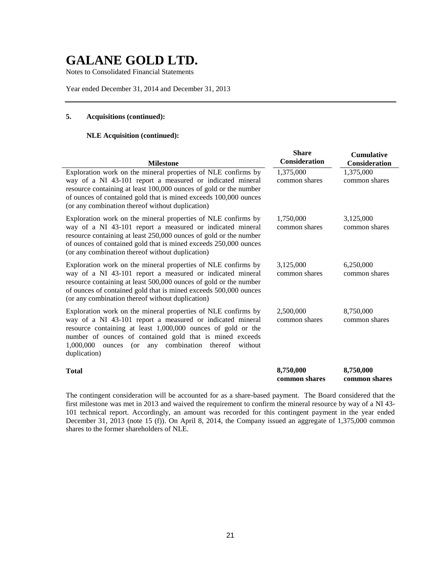Notes to Consolidated Financial Statements

Year ended December 31, 2014 and December 31, 2013

# **5. Acquisitions (continued):**

# **NLE Acquisition (continued):**

| <b>Milestone</b>                                                                                                                                                                                                                                                                                                                        | <b>Share</b><br>Consideration | <b>Cumulative</b><br><b>Consideration</b> |
|-----------------------------------------------------------------------------------------------------------------------------------------------------------------------------------------------------------------------------------------------------------------------------------------------------------------------------------------|-------------------------------|-------------------------------------------|
| Exploration work on the mineral properties of NLE confirms by<br>way of a NI 43-101 report a measured or indicated mineral<br>resource containing at least 100,000 ounces of gold or the number<br>of ounces of contained gold that is mined exceeds 100,000 ounces<br>(or any combination thereof without duplication)                 | 1,375,000<br>common shares    | 1,375,000<br>common shares                |
| Exploration work on the mineral properties of NLE confirms by<br>way of a NI 43-101 report a measured or indicated mineral<br>resource containing at least 250,000 ounces of gold or the number<br>of ounces of contained gold that is mined exceeds 250,000 ounces<br>(or any combination thereof without duplication)                 | 1,750,000<br>common shares    | 3,125,000<br>common shares                |
| Exploration work on the mineral properties of NLE confirms by<br>way of a NI 43-101 report a measured or indicated mineral<br>resource containing at least 500,000 ounces of gold or the number<br>of ounces of contained gold that is mined exceeds 500,000 ounces<br>(or any combination thereof without duplication)                 | 3,125,000<br>common shares    | 6,250,000<br>common shares                |
| Exploration work on the mineral properties of NLE confirms by<br>way of a NI 43-101 report a measured or indicated mineral<br>resource containing at least 1,000,000 ounces of gold or the<br>number of ounces of contained gold that is mined exceeds<br>(or any combination thereof<br>1,000,000<br>ounces<br>without<br>duplication) | 2,500,000<br>common shares    | 8,750,000<br>common shares                |
| <b>Total</b>                                                                                                                                                                                                                                                                                                                            | 8,750,000<br>common shares    | 8,750,000<br>common shares                |

The contingent consideration will be accounted for as a share-based payment. The Board considered that the first milestone was met in 2013 and waived the requirement to confirm the mineral resource by way of a NI 43- 101 technical report. Accordingly, an amount was recorded for this contingent payment in the year ended December 31, 2013 (note 15 (f)). On April 8, 2014, the Company issued an aggregate of 1,375,000 common shares to the former shareholders of NLE.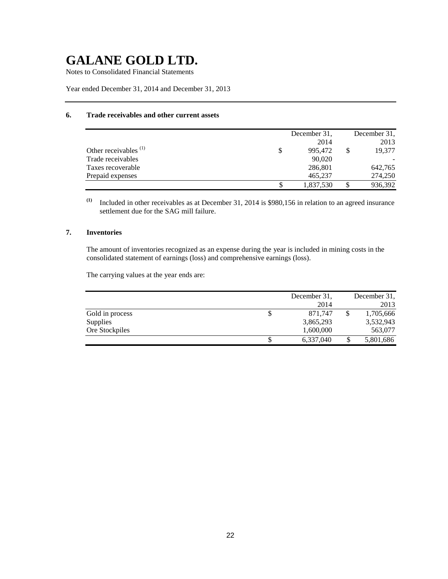Notes to Consolidated Financial Statements

Year ended December 31, 2014 and December 31, 2013

# **6. Trade receivables and other current assets**

|                                  | December 31. | December 31. |
|----------------------------------|--------------|--------------|
|                                  | 2014         | 2013         |
| Other receivables <sup>(1)</sup> | 995,472      | 19,377       |
| Trade receivables                | 90,020       |              |
| Taxes recoverable                | 286,801      | 642,765      |
| Prepaid expenses                 | 465,237      | 274,250      |
|                                  | 1,837,530    | 936,392      |

**(1)** Included in other receivables as at December 31, 2014 is \$980,156 in relation to an agreed insurance settlement due for the SAG mill failure.

# **7. Inventories**

The amount of inventories recognized as an expense during the year is included in mining costs in the consolidated statement of earnings (loss) and comprehensive earnings (loss).

The carrying values at the year ends are:

|                 |    | December 31, | December 31. |
|-----------------|----|--------------|--------------|
|                 |    | 2014         | 2013         |
| Gold in process | \$ | 871.747      | 1,705,666    |
| Supplies        |    | 3,865,293    | 3,532,943    |
| Ore Stockpiles  |    | 1,600,000    | 563,077      |
|                 | S  | 6,337,040    | 5,801,686    |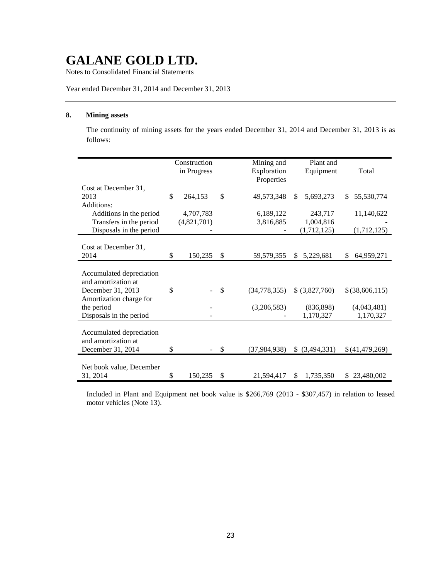Notes to Consolidated Financial Statements

Year ended December 31, 2014 and December 31, 2013

## **8. Mining assets**

The continuity of mining assets for the years ended December 31, 2014 and December 31, 2013 is as follows:

|                                                 | Construction<br>in Progress |              | Mining and<br>Exploration<br>Properties | Plant and<br>Equipment | Total            |
|-------------------------------------------------|-----------------------------|--------------|-----------------------------------------|------------------------|------------------|
| Cost at December 31,                            |                             |              |                                         |                        |                  |
| 2013                                            | \$<br>264,153               | \$           | 49,573,348                              | 5,693,273<br>\$        | 55,530,774<br>\$ |
| Additions:                                      |                             |              |                                         |                        |                  |
| Additions in the period                         | 4,707,783                   |              | 6,189,122                               | 243,717                | 11,140,622       |
| Transfers in the period                         | (4,821,701)                 |              | 3,816,885                               | 1,004,816              |                  |
| Disposals in the period                         |                             |              |                                         | (1,712,125)            | (1,712,125)      |
|                                                 |                             |              |                                         |                        |                  |
| Cost at December 31,                            |                             |              |                                         |                        |                  |
| 2014                                            | \$<br>150,235               | $\mathbb{S}$ | 59,579,355                              | \$5,229,681            | 64,959,271<br>\$ |
| Accumulated depreciation<br>and amortization at |                             |              |                                         |                        |                  |
| December 31, 2013<br>Amortization charge for    | \$                          | \$           | (34,778,355)                            | \$ (3,827,760)         | $$$ (38,606,115) |
| the period                                      |                             |              | (3,206,583)                             | (836,898)              | (4,043,481)      |
| Disposals in the period                         |                             |              |                                         | 1,170,327              | 1,170,327        |
| Accumulated depreciation<br>and amortization at |                             |              |                                         |                        |                  |
| December 31, 2014                               | \$                          | \$           | (37, 984, 938)                          | \$ (3,494,331)         | \$(41,479,269)   |
| Net book value, December<br>31, 2014            | \$<br>150,235               | \$           | 21,594,417                              | 1,735,350<br>\$        | 23,480,002<br>S. |
|                                                 |                             |              |                                         |                        |                  |

Included in Plant and Equipment net book value is \$266,769 (2013 - \$307,457) in relation to leased motor vehicles (Note 13).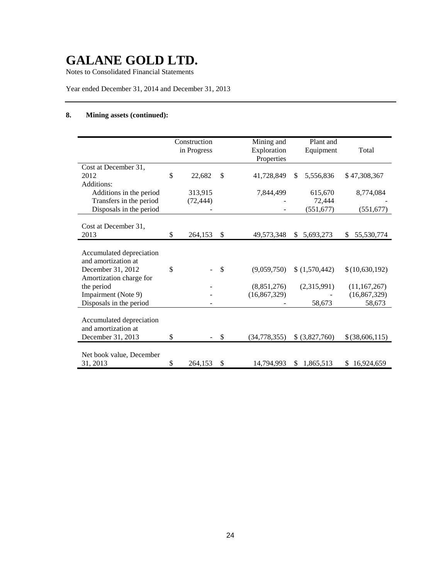Notes to Consolidated Financial Statements

Year ended December 31, 2014 and December 31, 2013

# **8. Mining assets (continued):**

|                          | Construction<br>in Progress |              | Mining and<br>Exploration<br>Properties | Plant and<br>Equipment | Total            |
|--------------------------|-----------------------------|--------------|-----------------------------------------|------------------------|------------------|
| Cost at December 31,     |                             |              |                                         |                        |                  |
| 2012                     | \$<br>22,682                | $\mathbb{S}$ | 41,728,849                              | \$<br>5,556,836        | \$47,308,367     |
| Additions:               |                             |              |                                         |                        |                  |
| Additions in the period  | 313,915                     |              | 7,844,499                               | 615,670                | 8,774,084        |
| Transfers in the period  | (72, 444)                   |              |                                         | 72,444                 |                  |
| Disposals in the period  |                             |              |                                         | (551, 677)             | (551, 677)       |
| Cost at December 31,     |                             |              |                                         |                        |                  |
| 2013                     | \$<br>264,153               | \$           | 49,573,348                              | \$5,693,273            | 55,530,774<br>\$ |
|                          |                             |              |                                         |                        |                  |
| Accumulated depreciation |                             |              |                                         |                        |                  |
| and amortization at      |                             |              |                                         |                        |                  |
| December 31, 2012        | \$                          | \$           | (9,059,750)                             | \$(1,570,442)          | \$(10,630,192)   |
| Amortization charge for  |                             |              |                                         |                        |                  |
| the period               |                             |              | (8,851,276)                             | (2,315,991)            | (11, 167, 267)   |
| Impairment (Note 9)      |                             |              | (16, 867, 329)                          |                        | (16, 867, 329)   |
| Disposals in the period  |                             |              |                                         | 58,673                 | 58,673           |
|                          |                             |              |                                         |                        |                  |
| Accumulated depreciation |                             |              |                                         |                        |                  |
| and amortization at      | \$                          |              |                                         |                        |                  |
| December 31, 2013        |                             | \$           | (34, 778, 355)                          | \$ (3,827,760)         | \$(38,606,115)   |
| Net book value, December |                             |              |                                         |                        |                  |
| 31, 2013                 | \$<br>264,153               | \$           | 14,794,993                              | 1,865,513<br>\$        | \$16,924,659     |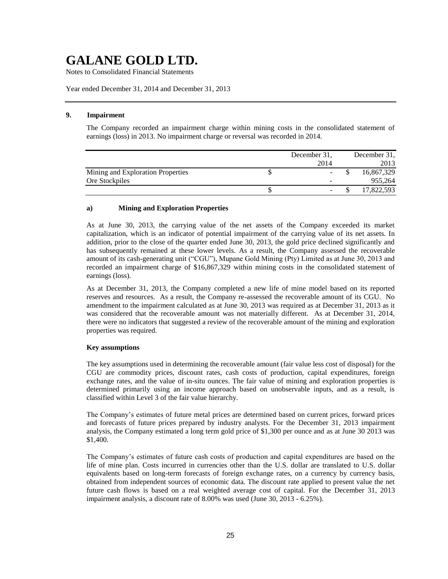Notes to Consolidated Financial Statements

Year ended December 31, 2014 and December 31, 2013

#### **9. Impairment**

The Company recorded an impairment charge within mining costs in the consolidated statement of earnings (loss) in 2013. No impairment charge or reversal was recorded in 2014.

|                                   | December 31, | December 31, |
|-----------------------------------|--------------|--------------|
|                                   | 2014         | 2013         |
| Mining and Exploration Properties |              | 16,867,329   |
| Ore Stockpiles                    |              | 955.264      |
|                                   |              | 17,822,593   |

#### **a) Mining and Exploration Properties**

As at June 30, 2013, the carrying value of the net assets of the Company exceeded its market capitalization, which is an indicator of potential impairment of the carrying value of its net assets. In addition, prior to the close of the quarter ended June 30, 2013, the gold price declined significantly and has subsequently remained at these lower levels. As a result, the Company assessed the recoverable amount of its cash-generating unit ("CGU"), Mupane Gold Mining (Pty) Limited as at June 30, 2013 and recorded an impairment charge of \$16,867,329 within mining costs in the consolidated statement of earnings (loss).

As at December 31, 2013, the Company completed a new life of mine model based on its reported reserves and resources. As a result, the Company re-assessed the recoverable amount of its CGU. No amendment to the impairment calculated as at June 30, 2013 was required as at December 31, 2013 as it was considered that the recoverable amount was not materially different. As at December 31, 2014, there were no indicators that suggested a review of the recoverable amount of the mining and exploration properties was required.

#### **Key assumptions**

The key assumptions used in determining the recoverable amount (fair value less cost of disposal) for the CGU are commodity prices, discount rates, cash costs of production, capital expenditures, foreign exchange rates, and the value of in-situ ounces. The fair value of mining and exploration properties is determined primarily using an income approach based on unobservable inputs, and as a result, is classified within Level 3 of the fair value hierarchy.

The Company's estimates of future metal prices are determined based on current prices, forward prices and forecasts of future prices prepared by industry analysts. For the December 31, 2013 impairment analysis, the Company estimated a long term gold price of \$1,300 per ounce and as at June 30 2013 was \$1,400.

The Company's estimates of future cash costs of production and capital expenditures are based on the life of mine plan. Costs incurred in currencies other than the U.S. dollar are translated to U.S. dollar equivalents based on long-term forecasts of foreign exchange rates, on a currency by currency basis, obtained from independent sources of economic data. The discount rate applied to present value the net future cash flows is based on a real weighted average cost of capital. For the December 31, 2013 impairment analysis, a discount rate of 8.00% was used (June 30, 2013 - 6.25%).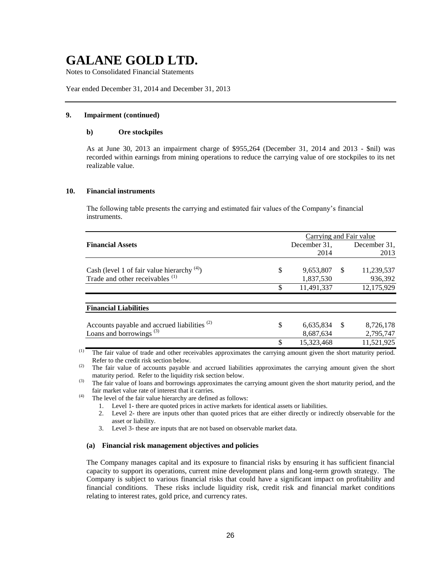Notes to Consolidated Financial Statements

Year ended December 31, 2014 and December 31, 2013

#### **9. Impairment (continued)**

## **b) Ore stockpiles**

As at June 30, 2013 an impairment charge of \$955,264 (December 31, 2014 and 2013 - \$nil) was recorded within earnings from mining operations to reduce the carrying value of ore stockpiles to its net realizable value.

#### **10. Financial instruments**

The following table presents the carrying and estimated fair values of the Company's financial instruments.

|                                                         |    | Carrying and Fair value |               |                                                                                                                 |
|---------------------------------------------------------|----|-------------------------|---------------|-----------------------------------------------------------------------------------------------------------------|
| <b>Financial Assets</b>                                 |    | December 31,            |               | December 31,                                                                                                    |
|                                                         |    | 2014                    |               | 2013                                                                                                            |
| Cash (level 1 of fair value hierarchy $(4)$ )           | \$ | 9,653,807               | <sup>\$</sup> | 11,239,537                                                                                                      |
| Trade and other receivables <sup>(1)</sup>              |    | 1,837,530               |               | 936,392                                                                                                         |
|                                                         | \$ | 11,491,337              |               | 12,175,929                                                                                                      |
| <b>Financial Liabilities</b>                            |    |                         |               |                                                                                                                 |
| Accounts payable and accrued liabilities <sup>(2)</sup> | S  | 6,635,834               | - \$          | 8,726,178                                                                                                       |
| Loans and borrowings <sup>(3)</sup>                     |    | 8,687,634               |               | 2,795,747                                                                                                       |
|                                                         | \$ | 15,323,468              |               | 11,521,925                                                                                                      |
|                                                         |    |                         |               | the contract of the contract of the contract of the contract of the contract of the contract of the contract of |

<sup>(1)</sup> The fair value of trade and other receivables approximates the carrying amount given the short maturity period. Refer to the credit risk section below.

(2) The fair value of accounts payable and accrued liabilities approximates the carrying amount given the short maturity period. Refer to the liquidity risk section below.

<sup>(3)</sup> The fair value of loans and borrowings approximates the carrying amount given the short maturity period, and the fair market value rate of interest that it carries.

 $(4)$  The level of the fair value hierarchy are defined as follows:

- 1. Level 1- there are quoted prices in active markets for identical assets or liabilities.
- 2. Level 2- there are inputs other than quoted prices that are either directly or indirectly observable for the asset or liability.
- 3. Level 3- these are inputs that are not based on observable market data.

#### **(a) Financial risk management objectives and policies**

The Company manages capital and its exposure to financial risks by ensuring it has sufficient financial capacity to support its operations, current mine development plans and long-term growth strategy. The Company is subject to various financial risks that could have a significant impact on profitability and financial conditions. These risks include liquidity risk, credit risk and financial market conditions relating to interest rates, gold price, and currency rates.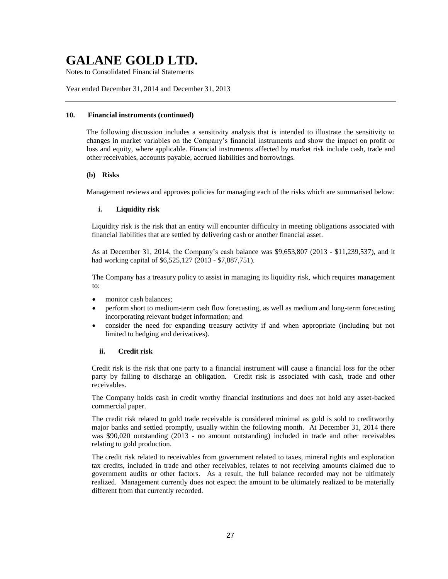Notes to Consolidated Financial Statements

Year ended December 31, 2014 and December 31, 2013

### **10. Financial instruments (continued)**

The following discussion includes a sensitivity analysis that is intended to illustrate the sensitivity to changes in market variables on the Company's financial instruments and show the impact on profit or loss and equity, where applicable. Financial instruments affected by market risk include cash, trade and other receivables, accounts payable, accrued liabilities and borrowings.

# **(b) Risks**

Management reviews and approves policies for managing each of the risks which are summarised below:

# **i. Liquidity risk**

Liquidity risk is the risk that an entity will encounter difficulty in meeting obligations associated with financial liabilities that are settled by delivering cash or another financial asset.

As at December 31, 2014, the Company's cash balance was \$9,653,807 (2013 - \$11,239,537), and it had working capital of \$6,525,127 (2013 - \$7,887,751).

The Company has a treasury policy to assist in managing its liquidity risk, which requires management to:

- monitor cash balances:
- perform short to medium-term cash flow forecasting, as well as medium and long-term forecasting incorporating relevant budget information; and
- consider the need for expanding treasury activity if and when appropriate (including but not limited to hedging and derivatives).

# **ii. Credit risk**

Credit risk is the risk that one party to a financial instrument will cause a financial loss for the other party by failing to discharge an obligation. Credit risk is associated with cash, trade and other receivables.

The Company holds cash in credit worthy financial institutions and does not hold any asset-backed commercial paper.

The credit risk related to gold trade receivable is considered minimal as gold is sold to creditworthy major banks and settled promptly, usually within the following month. At December 31, 2014 there was \$90,020 outstanding (2013 - no amount outstanding) included in trade and other receivables relating to gold production.

The credit risk related to receivables from government related to taxes, mineral rights and exploration tax credits, included in trade and other receivables, relates to not receiving amounts claimed due to government audits or other factors. As a result, the full balance recorded may not be ultimately realized. Management currently does not expect the amount to be ultimately realized to be materially different from that currently recorded.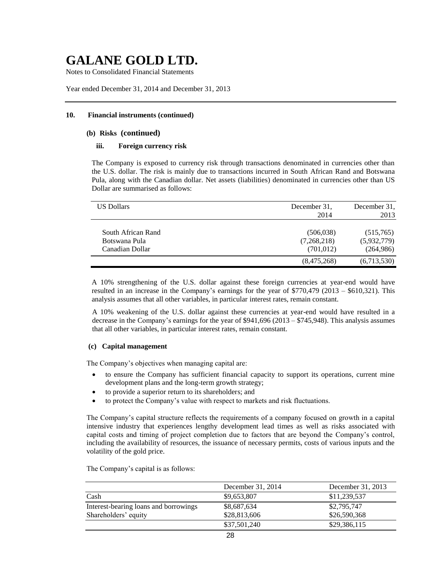Notes to Consolidated Financial Statements

Year ended December 31, 2014 and December 31, 2013

### **10. Financial instruments (continued)**

## **(b) Risks (continued)**

### **iii. Foreign currency risk**

The Company is exposed to currency risk through transactions denominated in currencies other than the U.S. dollar. The risk is mainly due to transactions incurred in South African Rand and Botswana Pula, along with the Canadian dollar. Net assets (liabilities) denominated in currencies other than US Dollar are summarised as follows:

| <b>US Dollars</b>                                      | December 31.<br>2014                    | December 31.<br>2013                  |
|--------------------------------------------------------|-----------------------------------------|---------------------------------------|
| South African Rand<br>Botswana Pula<br>Canadian Dollar | (506, 038)<br>(7,268,218)<br>(701, 012) | (515,765)<br>(5,932,779)<br>(264,986) |
|                                                        | (8,475,268)                             | (6,713,530)                           |

A 10% strengthening of the U.S. dollar against these foreign currencies at year-end would have resulted in an increase in the Company's earnings for the year of \$770,479 (2013 – \$610,321). This analysis assumes that all other variables, in particular interest rates, remain constant.

A 10% weakening of the U.S. dollar against these currencies at year-end would have resulted in a decrease in the Company's earnings for the year of \$941,696 (2013 – \$745,948). This analysis assumes that all other variables, in particular interest rates, remain constant.

### **(c) Capital management**

The Company's objectives when managing capital are:

- to ensure the Company has sufficient financial capacity to support its operations, current mine development plans and the long-term growth strategy;
- to provide a superior return to its shareholders; and
- to protect the Company's value with respect to markets and risk fluctuations.

The Company's capital structure reflects the requirements of a company focused on growth in a capital intensive industry that experiences lengthy development lead times as well as risks associated with capital costs and timing of project completion due to factors that are beyond the Company's control, including the availability of resources, the issuance of necessary permits, costs of various inputs and the volatility of the gold price.

|                                       | December 31, 2014 | December 31, 2013 |
|---------------------------------------|-------------------|-------------------|
| Cash                                  | \$9,653,807       | \$11,239,537      |
| Interest-bearing loans and borrowings | \$8,687,634       | \$2,795,747       |
| Shareholders' equity                  | \$28,813,606      | \$26,590,368      |
|                                       | \$37,501,240      | \$29,386,115      |

The Company's capital is as follows: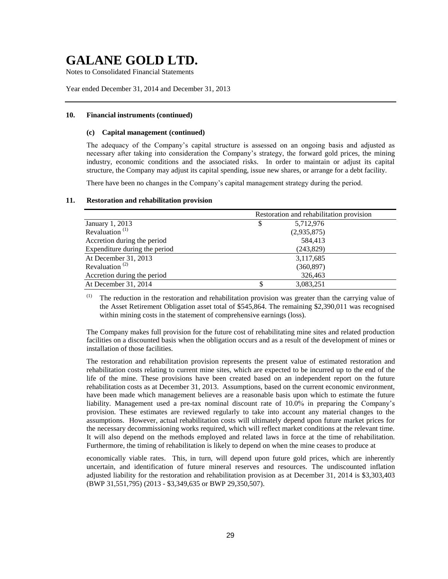Notes to Consolidated Financial Statements

Year ended December 31, 2014 and December 31, 2013

### **10. Financial instruments (continued)**

#### **(c) Capital management (continued)**

The adequacy of the Company's capital structure is assessed on an ongoing basis and adjusted as necessary after taking into consideration the Company's strategy, the forward gold prices, the mining industry, economic conditions and the associated risks. In order to maintain or adjust its capital structure, the Company may adjust its capital spending, issue new shares, or arrange for a debt facility.

There have been no changes in the Company's capital management strategy during the period.

### **11. Restoration and rehabilitation provision**

|                                         | Restoration and rehabilitation provision |
|-----------------------------------------|------------------------------------------|
| January 1, 2013                         | 5,712,976<br>\$                          |
| Revaluation <sup><math>(1)</math></sup> | (2,935,875)                              |
| Accretion during the period             | 584,413                                  |
| Expenditure during the period           | (243,829)                                |
| At December 31, 2013                    | 3,117,685                                |
| Revaluation <sup><math>(2)</math></sup> | (360, 897)                               |
| Accretion during the period             | 326,463                                  |
| At December 31, 2014                    | 3,083,251<br>S                           |

(1) The reduction in the restoration and rehabilitation provision was greater than the carrying value of the Asset Retirement Obligation asset total of \$545,864. The remaining \$2,390,011 was recognised within mining costs in the statement of comprehensive earnings (loss).

The Company makes full provision for the future cost of rehabilitating mine sites and related production facilities on a discounted basis when the obligation occurs and as a result of the development of mines or installation of those facilities.

The restoration and rehabilitation provision represents the present value of estimated restoration and rehabilitation costs relating to current mine sites, which are expected to be incurred up to the end of the life of the mine. These provisions have been created based on an independent report on the future rehabilitation costs as at December 31, 2013. Assumptions, based on the current economic environment, have been made which management believes are a reasonable basis upon which to estimate the future liability. Management used a pre-tax nominal discount rate of 10.0% in preparing the Company's provision. These estimates are reviewed regularly to take into account any material changes to the assumptions. However, actual rehabilitation costs will ultimately depend upon future market prices for the necessary decommissioning works required, which will reflect market conditions at the relevant time. It will also depend on the methods employed and related laws in force at the time of rehabilitation. Furthermore, the timing of rehabilitation is likely to depend on when the mine ceases to produce at

economically viable rates. This, in turn, will depend upon future gold prices, which are inherently uncertain, and identification of future mineral reserves and resources. The undiscounted inflation adjusted liability for the restoration and rehabilitation provision as at December 31, 2014 is \$3,303,403 (BWP 31,551,795) (2013 - \$3,349,635 or BWP 29,350,507).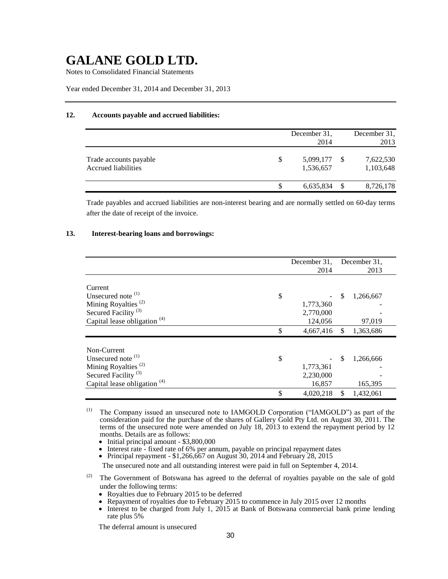Notes to Consolidated Financial Statements

Year ended December 31, 2014 and December 31, 2013

### **12. Accounts payable and accrued liabilities:**

|                                               |   | December 31.<br>2014   |     | December 31.<br>2013   |
|-----------------------------------------------|---|------------------------|-----|------------------------|
| Trade accounts payable<br>Accrued liabilities | S | 5,099,177<br>1,536,657 | -S  | 7,622,530<br>1,103,648 |
|                                               |   | 6,635,834              | \$. | 8,726,178              |

Trade payables and accrued liabilities are non-interest bearing and are normally settled on 60-day terms after the date of receipt of the invoice.

### **13. Interest-bearing loans and borrowings:**

|                                         | December 31,<br>2014 | December 31,<br>2013 |
|-----------------------------------------|----------------------|----------------------|
|                                         |                      |                      |
| Current                                 |                      |                      |
| Unsecured note <sup>(1)</sup><br>\$     |                      | \$<br>1,266,667      |
| Mining Royalties <sup>(2)</sup>         | 1,773,360            |                      |
| Secured Facility <sup>(3)</sup>         | 2,770,000            |                      |
| Capital lease obligation $(4)$          | 124,056              | 97,019               |
| \$                                      | 4,667,416            | \$<br>1,363,686      |
|                                         |                      |                      |
| Non-Current                             |                      |                      |
| Unsecured note <sup>(1)</sup><br>\$     |                      | \$<br>1,266,666      |
| Mining Royalties <sup>(2)</sup>         | 1,773,361            |                      |
| Secured Facility <sup>(3)</sup>         | 2,230,000            |                      |
| Capital lease obligation <sup>(4)</sup> | 16,857               | 165,395              |
| \$                                      | 4,020,218            | \$<br>1,432,061      |

(1) The Company issued an unsecured note to IAMGOLD Corporation ("IAMGOLD") as part of the consideration paid for the purchase of the shares of Gallery Gold Pty Ltd. on August 30, 2011. The terms of the unsecured note were amended on July 18, 2013 to extend the repayment period by 12 months. Details are as follows:

• Initial principal amount - \$3,800,000

• Interest rate - fixed rate of 6% per annum, payable on principal repayment dates

• Principal repayment -  $$1,266,667$  on August 30, 2014 and February 28, 2015

The unsecured note and all outstanding interest were paid in full on September 4, 2014.

<sup>(2)</sup> The Government of Botswana has agreed to the deferral of royalties payable on the sale of gold under the following terms:

- Royalties due to February 2015 to be deferred
- Repayment of royalties due to February 2015 to commence in July 2015 over 12 months
- Interest to be charged from July 1, 2015 at Bank of Botswana commercial bank prime lending rate plus 5%

The deferral amount is unsecured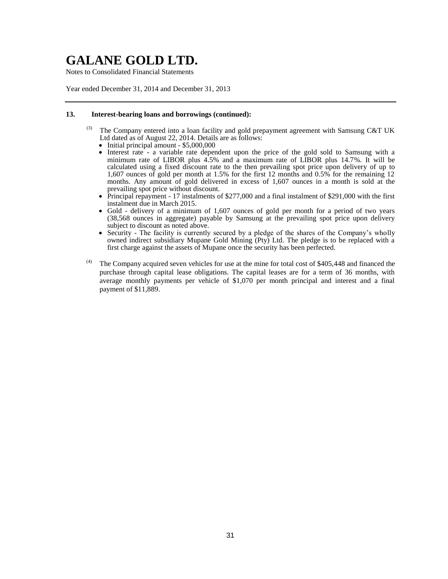Notes to Consolidated Financial Statements

Year ended December 31, 2014 and December 31, 2013

### **13. Interest-bearing loans and borrowings (continued):**

- (3) The Company entered into a loan facility and gold prepayment agreement with Samsung C&T UK Ltd dated as of August 22, 2014. Details are as follows:
	- Initial principal amount \$5,000,000
	- Interest rate a variable rate dependent upon the price of the gold sold to Samsung with a minimum rate of LIBOR plus 4.5% and a maximum rate of LIBOR plus 14.7%. It will be calculated using a fixed discount rate to the then prevailing spot price upon delivery of up to 1,607 ounces of gold per month at 1.5% for the first 12 months and 0.5% for the remaining 12 months. Any amount of gold delivered in excess of 1,607 ounces in a month is sold at the prevailing spot price without discount.
	- Principal repayment 17 instalments of \$277,000 and a final instalment of \$291,000 with the first instalment due in March 2015.
	- Gold delivery of a minimum of 1,607 ounces of gold per month for a period of two years (38,568 ounces in aggregate) payable by Samsung at the prevailing spot price upon delivery subject to discount as noted above.
	- Security The facility is currently secured by a pledge of the shares of the Company's wholly owned indirect subsidiary Mupane Gold Mining (Pty) Ltd. The pledge is to be replaced with a first charge against the assets of Mupane once the security has been perfected.
- $(4)$  The Company acquired seven vehicles for use at the mine for total cost of \$405,448 and financed the purchase through capital lease obligations. The capital leases are for a term of 36 months, with average monthly payments per vehicle of \$1,070 per month principal and interest and a final payment of \$11,889.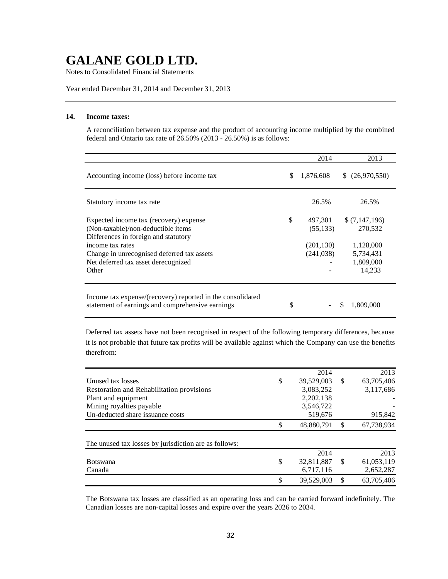Notes to Consolidated Financial Statements

Year ended December 31, 2014 and December 31, 2013

# **14. Income taxes:**

A reconciliation between tax expense and the product of accounting income multiplied by the combined federal and Ontario tax rate of  $26.50\%$  (2013 -  $26.50\%$ ) is as follows:

|                                                                                                                                                                                                                                        | 2014                                                   | 2013                                                                      |
|----------------------------------------------------------------------------------------------------------------------------------------------------------------------------------------------------------------------------------------|--------------------------------------------------------|---------------------------------------------------------------------------|
| Accounting income (loss) before income tax                                                                                                                                                                                             | \$<br>1,876,608                                        | \$ (26,970,550)                                                           |
| Statutory income tax rate                                                                                                                                                                                                              | 26.5%                                                  | 26.5%                                                                     |
| Expected income tax (recovery) expense<br>(Non-taxable)/non-deductible items<br>Differences in foreign and statutory<br>income tax rates<br>Change in unrecognised deferred tax assets<br>Net deferred tax asset derecognized<br>Other | \$<br>497,301<br>(55, 133)<br>(201, 130)<br>(241, 038) | \$(7,147,196)<br>270,532<br>1,128,000<br>5,734,431<br>1,809,000<br>14,233 |
| Income tax expense/(recovery) reported in the consolidated<br>statement of earnings and comprehensive earnings                                                                                                                         | \$                                                     | 1,809,000<br>\$.                                                          |

Deferred tax assets have not been recognised in respect of the following temporary differences, because it is not probable that future tax profits will be available against which the Company can use the benefits therefrom:

|                                                       | 2014             | 2013             |
|-------------------------------------------------------|------------------|------------------|
| Unused tax losses                                     | \$<br>39,529,003 | \$<br>63,705,406 |
| Restoration and Rehabilitation provisions             | 3.083.252        | 3,117,686        |
| Plant and equipment                                   | 2,202,138        |                  |
| Mining royalties payable                              | 3,546,722        |                  |
| Un-deducted share issuance costs                      | 519,676          | 915,842          |
|                                                       | \$<br>48,880,791 | \$<br>67,738,934 |
| The unused tax losses by jurisdiction are as follows: |                  |                  |
|                                                       | 2014             | 2013             |
| <b>Botswana</b>                                       | \$<br>32,811,887 | \$<br>61,053,119 |
| Canada                                                | 6,717,116        | 2,652,287        |
|                                                       | \$<br>39,529,003 | \$<br>63,705,406 |

The Botswana tax losses are classified as an operating loss and can be carried forward indefinitely. The Canadian losses are non-capital losses and expire over the years 2026 to 2034.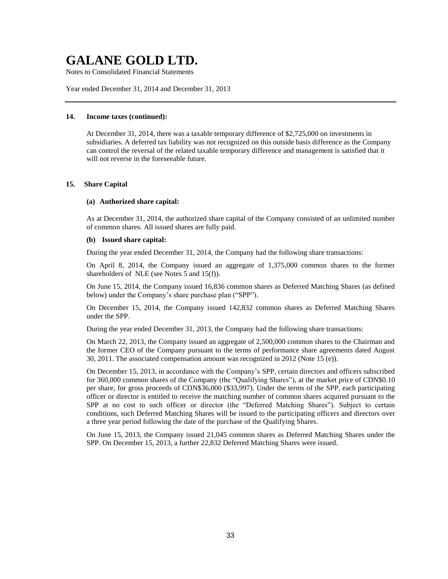Notes to Consolidated Financial Statements

Year ended December 31, 2014 and December 31, 2013

## **14. Income taxes (continued):**

At December 31, 2014, there was a taxable temporary difference of \$2,725,000 on investments in subsidiaries. A deferred tax liability was not recognized on this outside basis difference as the Company can control the reversal of the related taxable temporary difference and management is satisfied that it will not reverse in the foreseeable future.

### **15. Share Capital**

#### **(a) Authorized share capital:**

As at December 31, 2014, the authorized share capital of the Company consisted of an unlimited number of common shares. All issued shares are fully paid.

#### **(b) Issued share capital:**

During the year ended December 31, 2014, the Company had the following share transactions:

On April 8, 2014, the Company issued an aggregate of 1,375,000 common shares to the former shareholders of NLE (see Notes 5 and 15(f)).

On June 15, 2014, the Company issued 16,836 common shares as Deferred Matching Shares (as defined below) under the Company's share purchase plan ("SPP").

On December 15, 2014, the Company issued 142,832 common shares as Deferred Matching Shares under the SPP.

During the year ended December 31, 2013, the Company had the following share transactions:

On March 22, 2013, the Company issued an aggregate of 2,500,000 common shares to the Chairman and the former CEO of the Company pursuant to the terms of performance share agreements dated August 30, 2011. The associated compensation amount was recognized in 2012 (Note 15 (e)).

On December 15, 2013, in accordance with the Company's SPP, certain directors and officers subscribed for 360,000 common shares of the Company (the "Qualifying Shares"), at the market price of CDN\$0.10 per share, for gross proceeds of CDN\$36,000 (\$33,997). Under the terms of the SPP, each participating officer or director is entitled to receive the matching number of common shares acquired pursuant to the SPP at no cost to such officer or director (the "Deferred Matching Shares"). Subject to certain conditions, such Deferred Matching Shares will be issued to the participating officers and directors over a three year period following the date of the purchase of the Qualifying Shares.

On June 15, 2013, the Company issued 21,045 common shares as Deferred Matching Shares under the SPP. On December 15, 2013, a further 22,832 Deferred Matching Shares were issued.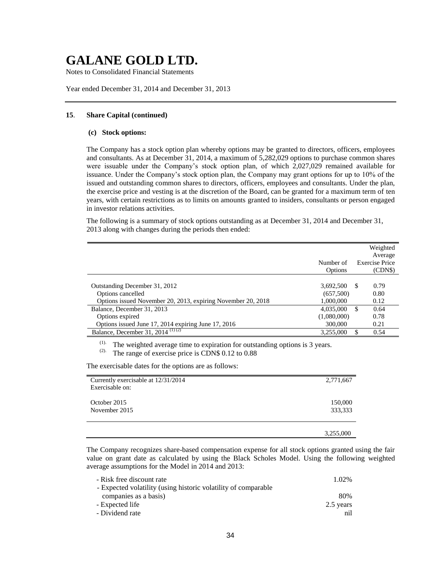Notes to Consolidated Financial Statements

Year ended December 31, 2014 and December 31, 2013

### **15**. **Share Capital (continued)**

### **(c) Stock options:**

The Company has a stock option plan whereby options may be granted to directors, officers, employees and consultants. As at December 31, 2014, a maximum of 5,282,029 options to purchase common shares were issuable under the Company's stock option plan, of which 2,027,029 remained available for issuance. Under the Company's stock option plan, the Company may grant options for up to 10% of the issued and outstanding common shares to directors, officers, employees and consultants. Under the plan, the exercise price and vesting is at the discretion of the Board, can be granted for a maximum term of ten years, with certain restrictions as to limits on amounts granted to insiders, consultants or person engaged in investor relations activities.

The following is a summary of stock options outstanding as at December 31, 2014 and December 31, 2013 along with changes during the periods then ended:

|                                                                                                                    | Number of<br>Options                | Weighted<br>Average<br><b>Exercise Price</b><br>(CDN\$) |
|--------------------------------------------------------------------------------------------------------------------|-------------------------------------|---------------------------------------------------------|
| Outstanding December 31, 2012<br>Options cancelled<br>Options issued November 20, 2013, expiring November 20, 2018 | 3,692,500<br>(657,500)<br>1,000,000 | 0.79<br>-\$<br>0.80<br>0.12                             |
| Balance, December 31, 2013<br>Options expired<br>Options issued June 17, 2014 expiring June 17, 2016               | 4,035,000<br>(1,080,000)<br>300,000 | -S<br>0.64<br>0.78<br>0.21                              |
| Balance, December 31, 2014 $(1)(2)$                                                                                | 3,255,000                           | 0.54                                                    |

(1). The weighted average time to expiration for outstanding options is 3 years.<br>(2). The range of exercise price is CDN\$ 0.12 to 0.88

The range of exercise price is CDN\$ 0.12 to 0.88

The exercisable dates for the options are as follows:

| Currently exercisable at 12/31/2014 | 2,771,667 |
|-------------------------------------|-----------|
| Exercisable on:                     |           |
|                                     |           |
| October 2015                        | 150,000   |
| November 2015                       | 333,333   |
|                                     |           |
|                                     | 3,255,000 |

The Company recognizes share-based compensation expense for all stock options granted using the fair value on grant date as calculated by using the Black Scholes Model. Using the following weighted average assumptions for the Model in 2014 and 2013:

| - Risk free discount rate                                      | 1.02%     |
|----------------------------------------------------------------|-----------|
| - Expected volatility (using historic volatility of comparable |           |
| companies as a basis)                                          | 80%       |
| - Expected life                                                | 2.5 years |
| - Dividend rate                                                | nil       |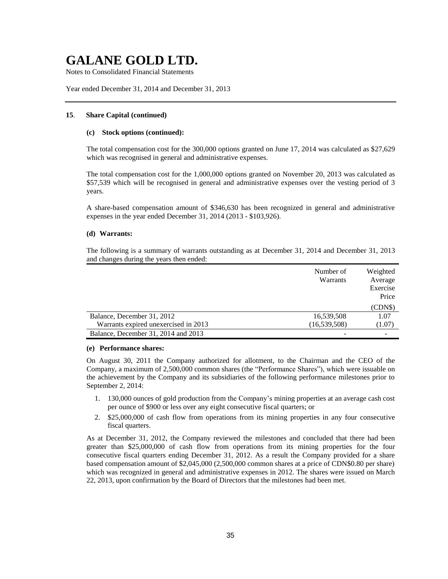Notes to Consolidated Financial Statements

Year ended December 31, 2014 and December 31, 2013

#### **15**. **Share Capital (continued)**

#### **(c) Stock options (continued):**

The total compensation cost for the 300,000 options granted on June 17, 2014 was calculated as \$27,629 which was recognised in general and administrative expenses.

The total compensation cost for the 1,000,000 options granted on November 20, 2013 was calculated as \$57,539 which will be recognised in general and administrative expenses over the vesting period of 3 years.

A share-based compensation amount of \$346,630 has been recognized in general and administrative expenses in the year ended December 31, 2014 (2013 - \$103,926).

#### **(d) Warrants:**

The following is a summary of warrants outstanding as at December 31, 2014 and December 31, 2013 and changes during the years then ended:

|                                      | Number of<br>Warrants | Weighted<br>Average<br>Exercise<br>Price |
|--------------------------------------|-----------------------|------------------------------------------|
|                                      |                       | (CDN\$)                                  |
| Balance, December 31, 2012           | 16,539,508            | 1.07                                     |
| Warrants expired unexercised in 2013 | (16, 539, 508)        | (1.07)                                   |
| Balance, December 31, 2014 and 2013  |                       |                                          |

#### **(e) Performance shares:**

On August 30, 2011 the Company authorized for allotment, to the Chairman and the CEO of the Company, a maximum of 2,500,000 common shares (the "Performance Shares"), which were issuable on the achievement by the Company and its subsidiaries of the following performance milestones prior to September 2, 2014:

- 1. 130,000 ounces of gold production from the Company's mining properties at an average cash cost per ounce of \$900 or less over any eight consecutive fiscal quarters; or
- 2. \$25,000,000 of cash flow from operations from its mining properties in any four consecutive fiscal quarters.

As at December 31, 2012, the Company reviewed the milestones and concluded that there had been greater than \$25,000,000 of cash flow from operations from its mining properties for the four consecutive fiscal quarters ending December 31, 2012. As a result the Company provided for a share based compensation amount of \$2,045,000 (2,500,000 common shares at a price of CDN\$0.80 per share) which was recognized in general and administrative expenses in 2012. The shares were issued on March 22, 2013, upon confirmation by the Board of Directors that the milestones had been met.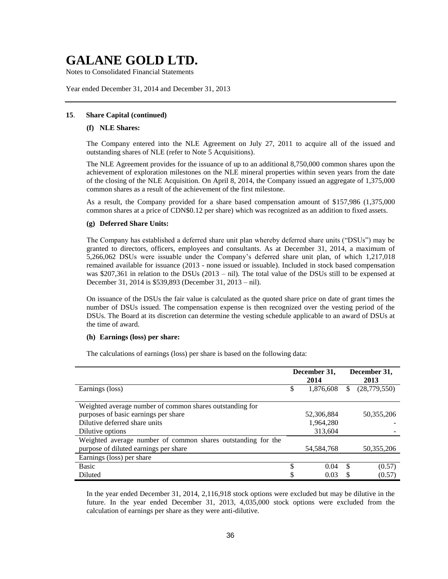Notes to Consolidated Financial Statements

Year ended December 31, 2014 and December 31, 2013

### **15**. **Share Capital (continued)**

#### **(f) NLE Shares:**

The Company entered into the NLE Agreement on July 27, 2011 to acquire all of the issued and outstanding shares of NLE (refer to Note 5 Acquisitions).

The NLE Agreement provides for the issuance of up to an additional 8,750,000 common shares upon the achievement of exploration milestones on the NLE mineral properties within seven years from the date of the closing of the NLE Acquisition. On April 8, 2014, the Company issued an aggregate of 1,375,000 common shares as a result of the achievement of the first milestone.

As a result, the Company provided for a share based compensation amount of \$157,986 (1,375,000 common shares at a price of CDN\$0.12 per share) which was recognized as an addition to fixed assets.

#### **(g) Deferred Share Units:**

The Company has established a deferred share unit plan whereby deferred share units ("DSUs") may be granted to directors, officers, employees and consultants. As at December 31, 2014, a maximum of 5,266,062 DSUs were issuable under the Company's deferred share unit plan, of which 1,217,018 remained available for issuance (2013 - none issued or issuable). Included in stock based compensation was \$207,361 in relation to the DSUs (2013 – nil). The total value of the DSUs still to be expensed at December 31, 2014 is \$539,893 (December 31, 2013 – nil).

On issuance of the DSUs the fair value is calculated as the quoted share price on date of grant times the number of DSUs issued. The compensation expense is then recognized over the vesting period of the DSUs. The Board at its discretion can determine the vesting schedule applicable to an award of DSUs at the time of award.

#### **(h) Earnings (loss) per share:**

The calculations of earnings (loss) per share is based on the following data:

|                                                              | December 31, |              |   | December 31, |  |  |
|--------------------------------------------------------------|--------------|--------------|---|--------------|--|--|
|                                                              |              | 2014         |   | 2013         |  |  |
| Earnings (loss)                                              | S            | 1,876,608    | S | (28,779,550) |  |  |
|                                                              |              |              |   |              |  |  |
| Weighted average number of common shares outstanding for     |              |              |   |              |  |  |
| purposes of basic earnings per share                         |              | 52,306,884   |   | 50,355,206   |  |  |
| Dilutive deferred share units                                |              | 1,964,280    |   |              |  |  |
| Dilutive options                                             |              | 313,604      |   |              |  |  |
| Weighted average number of common shares outstanding for the |              |              |   |              |  |  |
| purpose of diluted earnings per share                        |              | 54, 584, 768 |   | 50,355,206   |  |  |
| Earnings (loss) per share                                    |              |              |   |              |  |  |
| <b>Basic</b>                                                 | \$           | 0.04         | S | (0.57)       |  |  |
| Diluted                                                      |              | 0.03         |   | (0.57)       |  |  |

In the year ended December 31, 2014, 2,116,918 stock options were excluded but may be dilutive in the future. In the year ended December 31, 2013, 4,035,000 stock options were excluded from the calculation of earnings per share as they were anti-dilutive.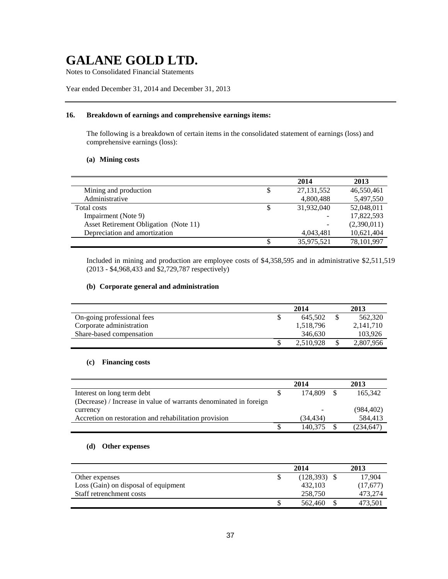Notes to Consolidated Financial Statements

# Year ended December 31, 2014 and December 31, 2013

#### **16. Breakdown of earnings and comprehensive earnings items:**

The following is a breakdown of certain items in the consolidated statement of earnings (loss) and comprehensive earnings (loss):

# **(a) Mining costs**

|                                       |    | 2014         | 2013        |
|---------------------------------------|----|--------------|-------------|
| Mining and production                 | \$ | 27, 131, 552 | 46,550,461  |
| Administrative                        |    | 4,800,488    | 5,497,550   |
| Total costs                           | S  | 31,932,040   | 52,048,011  |
| Impairment (Note 9)                   |    | -            | 17,822,593  |
| Asset Retirement Obligation (Note 11) |    | -            | (2,390,011) |
| Depreciation and amortization         |    | 4,043,481    | 10,621,404  |
|                                       |    | 35,975,521   | 78,101,997  |

Included in mining and production are employee costs of \$4,358,595 and in administrative \$2,511,519 (2013 - \$4,968,433 and \$2,729,787 respectively)

# **(b) Corporate general and administration**

|                            | 2014      | 2013 |           |  |
|----------------------------|-----------|------|-----------|--|
| On-going professional fees | 645.502   |      | 562,320   |  |
| Corporate administration   | 1.518.796 |      | 2,141,710 |  |
| Share-based compensation   | 346.630   |      | 103,926   |  |
|                            | 2,510,928 |      | 2,807,956 |  |

# **(c) Financing costs**

|                                                                   | 2014     | 2013       |
|-------------------------------------------------------------------|----------|------------|
| Interest on long term debt                                        | 174.809  | 165.342    |
| (Decrease) / Increase in value of warrants denominated in foreign |          |            |
| currency                                                          |          | (984, 402) |
| Accretion on restoration and rehabilitation provision             | (34.434) | 584.413    |
|                                                                   | 140.375  | (234, 647) |

# **(d) Other expenses**

|                                      |  | 2013       |          |
|--------------------------------------|--|------------|----------|
| Other expenses                       |  | (128, 393) | 17.904   |
| Loss (Gain) on disposal of equipment |  | 432.103    | (17,677) |
| Staff retrenchment costs             |  | 258,750    | 473.274  |
|                                      |  | 562,460    | 473,501  |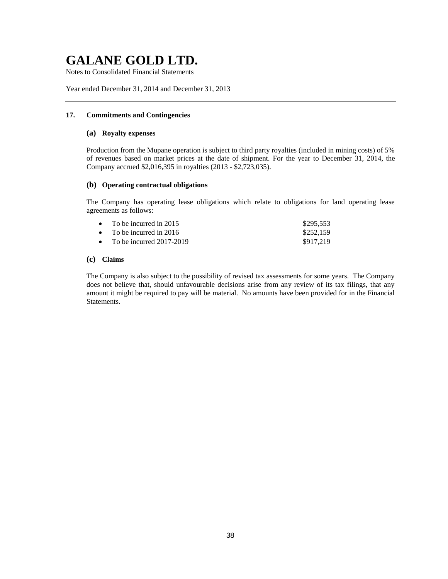Notes to Consolidated Financial Statements

Year ended December 31, 2014 and December 31, 2013

## **17. Commitments and Contingencies**

### **(a) Royalty expenses**

Production from the Mupane operation is subject to third party royalties (included in mining costs) of 5% of revenues based on market prices at the date of shipment. For the year to December 31, 2014, the Company accrued \$2,016,395 in royalties (2013 - \$2,723,035).

# **(b) Operating contractual obligations**

The Company has operating lease obligations which relate to obligations for land operating lease agreements as follows:

| • To be incurred in 2015     | \$295,553 |
|------------------------------|-----------|
| • To be incurred in 2016     | \$252,159 |
| • To be incurred $2017-2019$ | \$917,219 |

# **(c) Claims**

The Company is also subject to the possibility of revised tax assessments for some years. The Company does not believe that, should unfavourable decisions arise from any review of its tax filings, that any amount it might be required to pay will be material. No amounts have been provided for in the Financial Statements.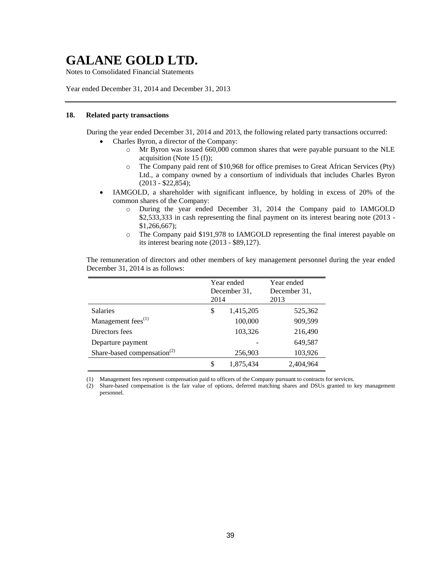Notes to Consolidated Financial Statements

Year ended December 31, 2014 and December 31, 2013

### **18. Related party transactions**

During the year ended December 31, 2014 and 2013, the following related party transactions occurred:

- Charles Byron, a director of the Company:
	- o Mr Byron was issued 660,000 common shares that were payable pursuant to the NLE acquisition (Note 15 (f));
	- o The Company paid rent of \$10,968 for office premises to Great African Services (Pty) Ltd., a company owned by a consortium of individuals that includes Charles Byron (2013 - \$22,854);
- IAMGOLD, a shareholder with significant influence, by holding in excess of 20% of the common shares of the Company:
	- o During the year ended December 31, 2014 the Company paid to IAMGOLD \$2,533,333 in cash representing the final payment on its interest bearing note (2013 -\$1,266,667);
	- o The Company paid \$191,978 to IAMGOLD representing the final interest payable on its interest bearing note (2013 - \$89,127).

The remuneration of directors and other members of key management personnel during the year ended December 31, 2014 is as follows:

|                                         | Year ended<br>December 31,<br>2014 |                          | Year ended<br>December 31,<br>2013 |         |
|-----------------------------------------|------------------------------------|--------------------------|------------------------------------|---------|
| Salaries                                | \$                                 | 1,415,205                | 525,362                            |         |
| Management fees $(1)$                   |                                    | 100,000                  | 909,599                            |         |
| Directors fees                          |                                    | 103,326                  | 216,490                            |         |
| Departure payment                       |                                    | $\overline{\phantom{a}}$ | 649,587                            |         |
| Share-based compensation <sup>(2)</sup> |                                    | 256,903                  |                                    | 103,926 |
|                                         |                                    | 1,875,434                | 2,404,964                          |         |

(1) Management fees represent compensation paid to officers of the Company pursuant to contracts for services.

(2) Share-based compensation is the fair value of options, deferred matching shares and DSUs granted to key management personnel.